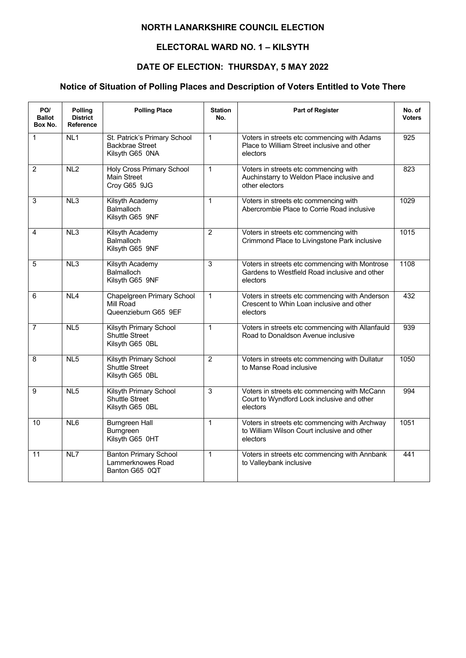### **ELECTORAL WARD NO. 1 – KILSYTH**

## **DATE OF ELECTION: THURSDAY, 5 MAY 2022**

| PO/<br><b>Ballot</b><br>Box No. | Polling<br><b>District</b><br>Reference | <b>Polling Place</b>                                                      | <b>Station</b><br>No. | <b>Part of Register</b>                                                                                     | No. of<br><b>Voters</b> |
|---------------------------------|-----------------------------------------|---------------------------------------------------------------------------|-----------------------|-------------------------------------------------------------------------------------------------------------|-------------------------|
| $\mathbf 1$                     | NL <sub>1</sub>                         | St. Patrick's Primary School<br><b>Backbrae Street</b><br>Kilsyth G65 0NA | $\mathbf{1}$          | Voters in streets etc commencing with Adams<br>Place to William Street inclusive and other<br>electors      | 925                     |
| $\overline{2}$                  | NL2                                     | <b>Holy Cross Primary School</b><br>Main Street<br>Croy G65 9JG           | $\mathbf{1}$          | Voters in streets etc commencing with<br>Auchinstarry to Weldon Place inclusive and<br>other electors       | 823                     |
| 3                               | NL3                                     | Kilsyth Academy<br><b>Balmalloch</b><br>Kilsyth G65 9NF                   | $\mathbf{1}$          | Voters in streets etc commencing with<br>Abercrombie Place to Corrie Road inclusive                         | 1029                    |
| 4                               | NL3                                     | Kilsyth Academy<br><b>Balmalloch</b><br>Kilsyth G65 9NF                   | $\overline{2}$        | Voters in streets etc commencing with<br>Crimmond Place to Livingstone Park inclusive                       | 1015                    |
| 5                               | NL3                                     | Kilsyth Academy<br><b>Balmalloch</b><br>Kilsyth G65 9NF                   | 3                     | Voters in streets etc commencing with Montrose<br>Gardens to Westfield Road inclusive and other<br>electors | 1108                    |
| 6                               | NL4                                     | <b>Chapelgreen Primary School</b><br>Mill Road<br>Queenzieburn G65 9EF    | $\mathbf{1}$          | Voters in streets etc commencing with Anderson<br>Crescent to Whin Loan inclusive and other<br>electors     | 432                     |
| $\overline{7}$                  | NL <sub>5</sub>                         | Kilsyth Primary School<br><b>Shuttle Street</b><br>Kilsyth G65 0BL        | $\mathbf{1}$          | Voters in streets etc commencing with Allanfauld<br>Road to Donaldson Avenue inclusive                      | 939                     |
| 8                               | NL5                                     | Kilsyth Primary School<br>Shuttle Street<br>Kilsyth G65 0BL               | $\overline{2}$        | Voters in streets etc commencing with Dullatur<br>to Manse Road inclusive                                   | 1050                    |
| 9                               | NL5                                     | Kilsyth Primary School<br>Shuttle Street<br>Kilsyth G65 0BL               | $\overline{3}$        | Voters in streets etc commencing with McCann<br>Court to Wyndford Lock inclusive and other<br>electors      | 994                     |
| 10                              | N <sub>L</sub> 6                        | <b>Burngreen Hall</b><br>Burngreen<br>Kilsyth G65 0HT                     | $\mathbf{1}$          | Voters in streets etc commencing with Archway<br>to William Wilson Court inclusive and other<br>electors    | $\frac{1051}{100}$      |
| 11                              | NL7                                     | <b>Banton Primary School</b><br>Lammerknowes Road<br>Banton G65 0QT       | $\mathbf{1}$          | Voters in streets etc commencing with Annbank<br>to Valleybank inclusive                                    | 441                     |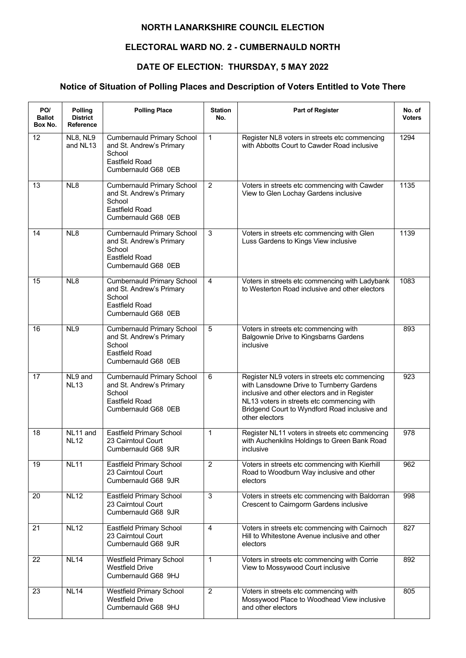### **ELECTORAL WARD NO. 2 - CUMBERNAULD NORTH**

## **DATE OF ELECTION: THURSDAY, 5 MAY 2022**

| PO/<br><b>Ballot</b><br>Box No. | <b>Polling</b><br><b>District</b><br><b>Reference</b> | <b>Polling Place</b>                                                                                                    | <b>Station</b><br>No. | <b>Part of Register</b>                                                                                                                                                                                                                                     | No. of<br><b>Voters</b> |
|---------------------------------|-------------------------------------------------------|-------------------------------------------------------------------------------------------------------------------------|-----------------------|-------------------------------------------------------------------------------------------------------------------------------------------------------------------------------------------------------------------------------------------------------------|-------------------------|
| 12                              | NL8, NL9<br>and NL13                                  | <b>Cumbernauld Primary School</b><br>and St. Andrew's Primary<br>School<br><b>Eastfield Road</b><br>Cumbernauld G68 0EB | $\mathbf{1}$          | Register NL8 voters in streets etc commencing<br>with Abbotts Court to Cawder Road inclusive                                                                                                                                                                | 1294                    |
| 13                              | NL8                                                   | <b>Cumbernauld Primary School</b><br>and St. Andrew's Primary<br>School<br><b>Eastfield Road</b><br>Cumbernauld G68 0EB | $\overline{2}$        | Voters in streets etc commencing with Cawder<br>View to Glen Lochay Gardens inclusive                                                                                                                                                                       | 1135                    |
| 14                              | NL8                                                   | <b>Cumbernauld Primary School</b><br>and St. Andrew's Primary<br>School<br><b>Eastfield Road</b><br>Cumbernauld G68 0EB | 3                     | Voters in streets etc commencing with Glen<br>Luss Gardens to Kings View inclusive                                                                                                                                                                          | 1139                    |
| 15                              | NL8                                                   | <b>Cumbernauld Primary School</b><br>and St. Andrew's Primary<br>School<br><b>Eastfield Road</b><br>Cumbernauld G68 0EB | $\overline{4}$        | Voters in streets etc commencing with Ladybank<br>to Westerton Road inclusive and other electors                                                                                                                                                            | 1083                    |
| 16                              | NL9                                                   | <b>Cumbernauld Primary School</b><br>and St. Andrew's Primary<br>School<br><b>Eastfield Road</b><br>Cumbernauld G68 0EB | $\overline{5}$        | Voters in streets etc commencing with<br>Balgownie Drive to Kingsbarns Gardens<br>inclusive                                                                                                                                                                 | 893                     |
| 17                              | NL9 and<br><b>NL13</b>                                | <b>Cumbernauld Primary School</b><br>and St. Andrew's Primary<br>School<br><b>Eastfield Road</b><br>Cumbernauld G68 0EB | 6                     | Register NL9 voters in streets etc commencing<br>with Lansdowne Drive to Turnberry Gardens<br>inclusive and other electors and in Register<br>NL13 voters in streets etc commencing with<br>Bridgend Court to Wyndford Road inclusive and<br>other electors | 923                     |
| 18                              | NL11 and<br><b>NL12</b>                               | Eastfield Primary School<br>23 Cairntoul Court<br>Cumbernauld G68 9JR                                                   | $\mathbf{1}$          | Register NL11 voters in streets etc commencing<br>with Auchenkilns Holdings to Green Bank Road<br>inclusive                                                                                                                                                 | $\overline{978}$        |
| 19                              | <b>NL11</b>                                           | Eastfield Primary School<br>23 Cairntoul Court<br>Cumbernauld G68 9JR                                                   | $\overline{2}$        | Voters in streets etc commencing with Kierhill<br>Road to Woodburn Way inclusive and other<br>electors                                                                                                                                                      | 962                     |
| 20                              | <b>NL12</b>                                           | Eastfield Primary School<br>23 Cairntoul Court<br>Cumbernauld G68 9JR                                                   | $\mathbf{3}$          | Voters in streets etc commencing with Baldorran<br>Crescent to Cairngorm Gardens inclusive                                                                                                                                                                  | 998                     |
| 21                              | <b>NL12</b>                                           | Eastfield Primary School<br>23 Cairntoul Court<br>Cumbernauld G68 9JR                                                   | 4                     | Voters in streets etc commencing with Cairnoch<br>Hill to Whitestone Avenue inclusive and other<br>electors                                                                                                                                                 | 827                     |
| 22                              | <b>NL14</b>                                           | <b>Westfield Primary School</b><br><b>Westfield Drive</b><br>Cumbernauld G68 9HJ                                        | $\mathbf{1}$          | Voters in streets etc commencing with Corrie<br>View to Mossywood Court inclusive                                                                                                                                                                           | 892                     |
| 23                              | <b>NL14</b>                                           | Westfield Primary School<br><b>Westfield Drive</b><br>Cumbernauld G68 9HJ                                               | $\overline{2}$        | Voters in streets etc commencing with<br>Mossywood Place to Woodhead View inclusive<br>and other electors                                                                                                                                                   | 805                     |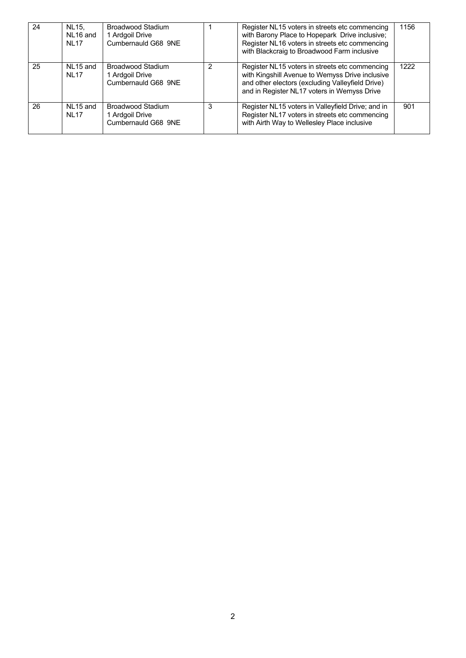| 24 | NL15.<br>NL16 and<br><b>NI 17</b>   | Broadwood Stadium<br>1 Ardgoil Drive<br>Cumbernauld G68 9NE        |               | Register NL15 voters in streets etc commencing<br>with Barony Place to Hopepark Drive inclusive;<br>Register NL16 voters in streets etc commencing<br>with Blackcraig to Broadwood Farm inclusive    | 1156 |
|----|-------------------------------------|--------------------------------------------------------------------|---------------|------------------------------------------------------------------------------------------------------------------------------------------------------------------------------------------------------|------|
| 25 | NL15 and<br><b>NL17</b>             | <b>Broadwood Stadium</b><br>1 Ardgoil Drive<br>Cumbernauld G68 9NE | $\mathcal{P}$ | Register NL15 voters in streets etc commencing<br>with Kingshill Avenue to Wemyss Drive inclusive<br>and other electors (excluding Valleyfield Drive)<br>and in Register NL17 voters in Wemyss Drive | 1222 |
| 26 | NL <sub>15</sub> and<br><b>NL17</b> | <b>Broadwood Stadium</b><br>1 Ardgoil Drive<br>Cumbernauld G68 9NE | 3             | Register NL15 voters in Valleyfield Drive; and in<br>Register NL17 voters in streets etc commencing<br>with Airth Way to Wellesley Place inclusive                                                   | 901  |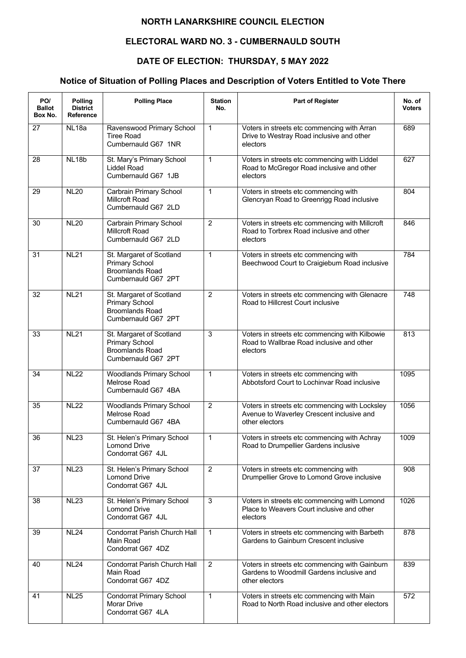## **ELECTORAL WARD NO. 3 - CUMBERNAULD SOUTH**

# **DATE OF ELECTION: THURSDAY, 5 MAY 2022**

| PO/<br><b>Ballot</b><br>Box No. | Polling<br><b>District</b><br><b>Reference</b> | <b>Polling Place</b>                                                                               | <b>Station</b><br>No. | <b>Part of Register</b>                                                                                       | No. of<br><b>Voters</b> |
|---------------------------------|------------------------------------------------|----------------------------------------------------------------------------------------------------|-----------------------|---------------------------------------------------------------------------------------------------------------|-------------------------|
| 27                              | NL <sub>18a</sub>                              | Ravenswood Primary School<br><b>Tiree Road</b><br>Cumbernauld G67 1NR                              | 1                     | Voters in streets etc commencing with Arran<br>Drive to Westray Road inclusive and other<br>electors          | 689                     |
| 28                              | <b>NL18b</b>                                   | St. Mary's Primary School<br><b>Liddel Road</b><br>Cumbernauld G67 1JB                             | 1                     | Voters in streets etc commencing with Liddel<br>Road to McGregor Road inclusive and other<br>electors         | 627                     |
| 29                              | <b>NL20</b>                                    | Carbrain Primary School<br>Millcroft Road<br>Cumbernauld G67 2LD                                   | $\mathbf 1$           | Voters in streets etc commencing with<br>Glencryan Road to Greenrigg Road inclusive                           | 804                     |
| 30                              | <b>NL20</b>                                    | Carbrain Primary School<br><b>Millcroft Road</b><br>Cumbernauld G67 2LD                            | $\overline{2}$        | Voters in streets etc commencing with Millcroft<br>Road to Torbrex Road inclusive and other<br>electors       | 846                     |
| 31                              | <b>NL21</b>                                    | St. Margaret of Scotland<br><b>Primary School</b><br><b>Broomlands Road</b><br>Cumbernauld G67 2PT | 1                     | Voters in streets etc commencing with<br>Beechwood Court to Craigieburn Road inclusive                        | 784                     |
| 32                              | <b>NL21</b>                                    | St. Margaret of Scotland<br><b>Primary School</b><br><b>Broomlands Road</b><br>Cumbernauld G67 2PT | $\overline{2}$        | Voters in streets etc commencing with Glenacre<br>Road to Hillcrest Court inclusive                           | 748                     |
| 33                              | NL21                                           | St. Margaret of Scotland<br><b>Primary School</b><br><b>Broomlands Road</b><br>Cumbernauld G67 2PT | 3                     | Voters in streets etc commencing with Kilbowie<br>Road to Wallbrae Road inclusive and other<br>electors       | 813                     |
| 34                              | <b>NL22</b>                                    | <b>Woodlands Primary School</b><br>Melrose Road<br>Cumbernauld G67 4BA                             | $\mathbf{1}$          | Voters in streets etc commencing with<br>Abbotsford Court to Lochinvar Road inclusive                         | 1095                    |
| 35                              | <b>NL22</b>                                    | <b>Woodlands Primary School</b><br>Melrose Road<br>Cumbernauld G67 4BA                             | $\overline{2}$        | Voters in streets etc commencing with Locksley<br>Avenue to Waverley Crescent inclusive and<br>other electors | 1056                    |
| 36                              | <b>NL23</b>                                    | St. Helen's Primary School<br><b>Lomond Drive</b><br>Condorrat G67 4JL                             | 1                     | Voters in streets etc commencing with Achray<br>Road to Drumpellier Gardens inclusive                         | 1009                    |
| 37                              | <b>NL23</b>                                    | St. Helen's Primary School<br><b>Lomond Drive</b><br>Condorrat G67 4JL                             | $\overline{2}$        | Voters in streets etc commencing with<br>Drumpellier Grove to Lomond Grove inclusive                          | 908                     |
| 38                              | <b>NL23</b>                                    | St. Helen's Primary School<br><b>Lomond Drive</b><br>Condorrat G67 4JL                             | $\sqrt{3}$            | Voters in streets etc commencing with Lomond<br>Place to Weavers Court inclusive and other<br>electors        | 1026                    |
| 39                              | <b>NL24</b>                                    | Condorrat Parish Church Hall<br>Main Road<br>Condorrat G67 4DZ                                     | $\mathbf{1}$          | Voters in streets etc commencing with Barbeth<br>Gardens to Gainburn Crescent inclusive                       | 878                     |
| 40                              | <b>NL24</b>                                    | Condorrat Parish Church Hall<br>Main Road<br>Condorrat G67 4DZ                                     | 2                     | Voters in streets etc commencing with Gainburn<br>Gardens to Woodmill Gardens inclusive and<br>other electors | 839                     |
| 41                              | <b>NL25</b>                                    | <b>Condorrat Primary School</b><br>Morar Drive<br>Condorrat G67 4LA                                | $\mathbf{1}$          | Voters in streets etc commencing with Main<br>Road to North Road inclusive and other electors                 | $\overline{572}$        |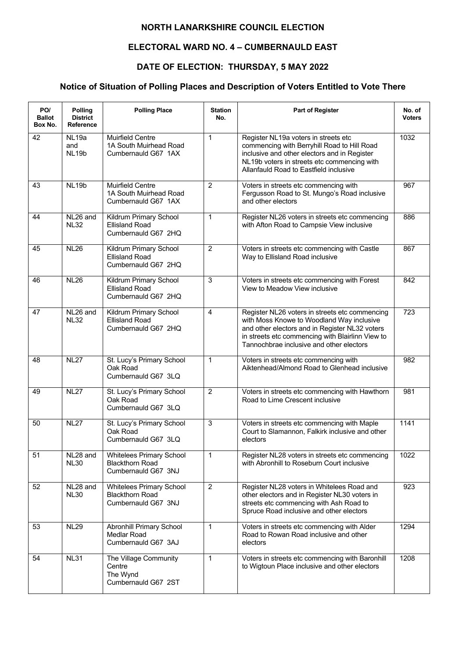### **ELECTORAL WARD NO. 4 – CUMBERNAULD EAST**

## **DATE OF ELECTION: THURSDAY, 5 MAY 2022**

| PO/<br><b>Ballot</b><br>Box No. | Polling<br><b>District</b><br>Reference  | <b>Polling Place</b>                                                      | <b>Station</b><br>No. | Part of Register                                                                                                                                                                                                                              | No. of<br><b>Voters</b> |
|---------------------------------|------------------------------------------|---------------------------------------------------------------------------|-----------------------|-----------------------------------------------------------------------------------------------------------------------------------------------------------------------------------------------------------------------------------------------|-------------------------|
| 42                              | NL <sub>19a</sub><br>and<br><b>NL19b</b> | Muirfield Centre<br>1A South Muirhead Road<br>Cumbernauld G67 1AX         | $\mathbf{1}$          | Register NL19a voters in streets etc<br>commencing with Berryhill Road to Hill Road<br>inclusive and other electors and in Register<br>NL19b voters in streets etc commencing with<br>Allanfauld Road to Eastfield inclusive                  | 1032                    |
| 43                              | NL <sub>19b</sub>                        | Muirfield Centre<br>1A South Muirhead Road<br>Cumbernauld G67 1AX         | $\overline{c}$        | Voters in streets etc commencing with<br>Fergusson Road to St. Mungo's Road inclusive<br>and other electors                                                                                                                                   | 967                     |
| 44                              | NL26 and<br><b>NL32</b>                  | Kildrum Primary School<br><b>Ellisland Road</b><br>Cumbernauld G67 2HQ    | $\mathbf{1}$          | Register NL26 voters in streets etc commencing<br>with Afton Road to Campsie View inclusive                                                                                                                                                   | 886                     |
| 45                              | <b>NL26</b>                              | Kildrum Primary School<br><b>Ellisland Road</b><br>Cumbernauld G67 2HQ    | $\overline{2}$        | Voters in streets etc commencing with Castle<br>Way to Ellisland Road inclusive                                                                                                                                                               | 867                     |
| 46                              | <b>NL26</b>                              | Kildrum Primary School<br><b>Ellisland Road</b><br>Cumbernauld G67 2HQ    | 3                     | Voters in streets etc commencing with Forest<br>View to Meadow View inclusive                                                                                                                                                                 | 842                     |
| 47                              | NL26 and<br><b>NL32</b>                  | Kildrum Primary School<br><b>Ellisland Road</b><br>Cumbernauld G67 2HQ    | $\overline{4}$        | Register NL26 voters in streets etc commencing<br>with Moss Knowe to Woodland Way inclusive<br>and other electors and in Register NL32 voters<br>in streets etc commencing with Blairlinn View to<br>Tannochbrae inclusive and other electors | 723                     |
| 48                              | <b>NL27</b>                              | St. Lucy's Primary School<br>Oak Road<br>Cumbernauld G67 3LQ              | $\mathbf{1}$          | Voters in streets etc commencing with<br>Aiktenhead/Almond Road to Glenhead inclusive                                                                                                                                                         | 982                     |
| 49                              | <b>NL27</b>                              | St. Lucy's Primary School<br>Oak Road<br>Cumbernauld G67 3LQ              | $\overline{2}$        | Voters in streets etc commencing with Hawthorn<br>Road to Lime Crescent inclusive                                                                                                                                                             | 981                     |
| 50                              | <b>NL27</b>                              | St. Lucy's Primary School<br>Oak Road<br>Cumbernauld G67 3LQ              | $\overline{3}$        | Voters in streets etc commencing with Maple<br>Court to Slamannon, Falkirk inclusive and other<br>electors                                                                                                                                    | 1141                    |
| 51                              | NL28 and<br><b>NL30</b>                  | Whitelees Primary School<br><b>Blackthorn Road</b><br>Cumbernauld G67 3NJ | 1                     | Register NL28 voters in streets etc commencing<br>with Abronhill to Roseburn Court inclusive                                                                                                                                                  | 1022                    |
| 52                              | NL28 and<br><b>NL30</b>                  | Whitelees Primary School<br><b>Blackthorn Road</b><br>Cumbernauld G67 3NJ | $\overline{2}$        | Register NL28 voters in Whitelees Road and<br>other electors and in Register NL30 voters in<br>streets etc commencing with Ash Road to<br>Spruce Road inclusive and other electors                                                            | 923                     |
| 53                              | <b>NL29</b>                              | <b>Abronhill Primary School</b><br>Medlar Road<br>Cumbernauld G67 3AJ     | $\mathbf{1}$          | Voters in streets etc commencing with Alder<br>Road to Rowan Road inclusive and other<br>electors                                                                                                                                             | 1294                    |
| 54                              | <b>NL31</b>                              | The Village Community<br>Centre<br>The Wynd<br>Cumbernauld G67 2ST        | $\overline{1}$        | Voters in streets etc commencing with Baronhill<br>to Wigtoun Place inclusive and other electors                                                                                                                                              | 1208                    |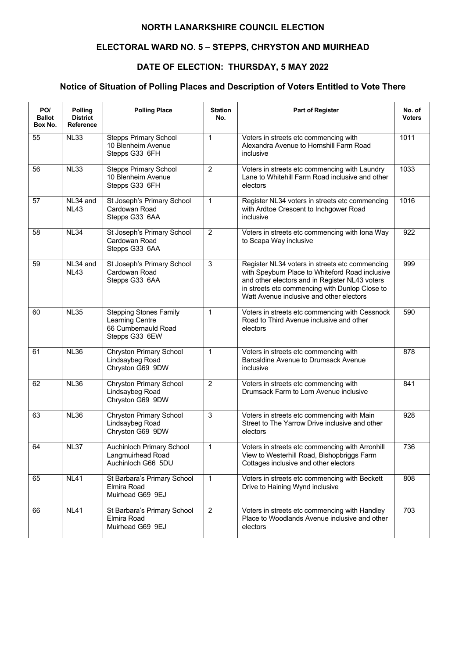# **ELECTORAL WARD NO. 5 – STEPPS, CHRYSTON AND MUIRHEAD**

# **DATE OF ELECTION: THURSDAY, 5 MAY 2022**

| PO/<br><b>Ballot</b><br>Box No. | Polling<br><b>District</b><br><b>Reference</b> | <b>Polling Place</b>                                                                      | <b>Station</b><br>No. | Part of Register                                                                                                                                                                                                                                  | No. of<br><b>Voters</b> |
|---------------------------------|------------------------------------------------|-------------------------------------------------------------------------------------------|-----------------------|---------------------------------------------------------------------------------------------------------------------------------------------------------------------------------------------------------------------------------------------------|-------------------------|
| 55                              | <b>NL33</b>                                    | <b>Stepps Primary School</b><br>10 Blenheim Avenue<br>Stepps G33 6FH                      | $\mathbf{1}$          | Voters in streets etc commencing with<br>Alexandra Avenue to Hornshill Farm Road<br>inclusive                                                                                                                                                     | 1011                    |
| 56                              | <b>NL33</b>                                    | <b>Stepps Primary School</b><br>10 Blenheim Avenue<br>Stepps G33 6FH                      | $\overline{2}$        | Voters in streets etc commencing with Laundry<br>Lane to Whitehill Farm Road inclusive and other<br>electors                                                                                                                                      | 1033                    |
| 57                              | $NL34$ and<br><b>NL43</b>                      | St Joseph's Primary School<br>Cardowan Road<br>Stepps G33 6AA                             | $\mathbf{1}$          | Register NL34 voters in streets etc commencing<br>with Ardtoe Crescent to Inchgower Road<br>inclusive                                                                                                                                             | 1016                    |
| 58                              | NL34                                           | St Joseph's Primary School<br>Cardowan Road<br>Stepps G33 6AA                             | $\overline{2}$        | Voters in streets etc commencing with Iona Way<br>to Scapa Way inclusive                                                                                                                                                                          | 922                     |
| 59                              | NL34 and<br><b>NL43</b>                        | St Joseph's Primary School<br>Cardowan Road<br>Stepps G33 6AA                             | $\overline{3}$        | Register NL34 voters in streets etc commencing<br>with Speyburn Place to Whiteford Road inclusive<br>and other electors and in Register NL43 voters<br>in streets etc commencing with Dunlop Close to<br>Watt Avenue inclusive and other electors | 999                     |
| 60                              | <b>NL35</b>                                    | <b>Stepping Stones Family</b><br>Learning Centre<br>66 Cumbernauld Road<br>Stepps G33 6EW | $\mathbf{1}$          | Voters in streets etc commencing with Cessnock<br>Road to Third Avenue inclusive and other<br>electors                                                                                                                                            | 590                     |
| 61                              | <b>NL36</b>                                    | <b>Chryston Primary School</b><br>Lindsaybeg Road<br>Chryston G69 9DW                     | $\mathbf{1}$          | Voters in streets etc commencing with<br>Barcaldine Avenue to Drumsack Avenue<br>inclusive                                                                                                                                                        | 878                     |
| 62                              | <b>NL36</b>                                    | <b>Chryston Primary School</b><br>Lindsaybeg Road<br>Chryston G69 9DW                     | $\overline{c}$        | Voters in streets etc commencing with<br>Drumsack Farm to Lorn Avenue inclusive                                                                                                                                                                   | 841                     |
| 63                              | <b>NL36</b>                                    | <b>Chryston Primary School</b><br>Lindsaybeg Road<br>Chryston G69 9DW                     | $\overline{3}$        | Voters in streets etc commencing with Main<br>Street to The Yarrow Drive inclusive and other<br>electors                                                                                                                                          | 928                     |
| 64                              | <b>NL37</b>                                    | Auchinloch Primary School<br>Langmuirhead Road<br>Auchinloch G66 5DU                      | $\mathbf{1}$          | Voters in streets etc commencing with Arronhill<br>View to Westerhill Road, Bishopbriggs Farm<br>Cottages inclusive and other electors                                                                                                            | 736                     |
| 65                              | <b>NL41</b>                                    | St Barbara's Primary School<br>Elmira Road<br>Muirhead G69 9EJ                            | $\mathbf{1}$          | Voters in streets etc commencing with Beckett<br>Drive to Haining Wynd inclusive                                                                                                                                                                  | 808                     |
| 66                              | <b>NL41</b>                                    | St Barbara's Primary School<br>Elmira Road<br>Muirhead G69 9EJ                            | $\overline{2}$        | Voters in streets etc commencing with Handley<br>Place to Woodlands Avenue inclusive and other<br>electors                                                                                                                                        | $\overline{703}$        |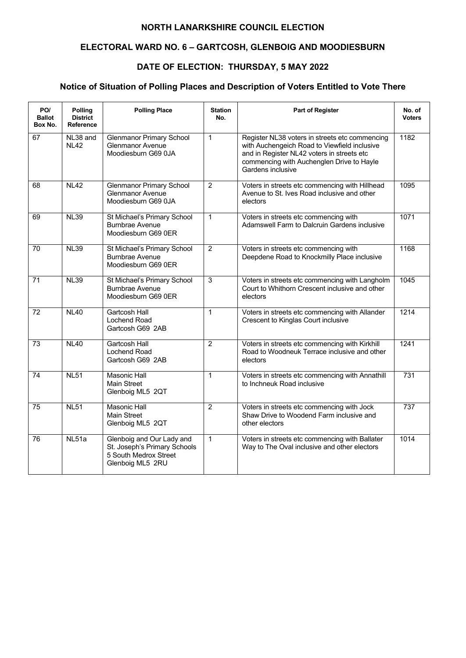# **ELECTORAL WARD NO. 6 – GARTCOSH, GLENBOIG AND MOODIESBURN**

# **DATE OF ELECTION: THURSDAY, 5 MAY 2022**

| PO/<br><b>Ballot</b><br>Box No. | Polling<br><b>District</b><br>Reference | <b>Polling Place</b>                                                                                   | <b>Station</b><br>No. | <b>Part of Register</b>                                                                                                                                                                                        | No. of<br><b>Voters</b> |
|---------------------------------|-----------------------------------------|--------------------------------------------------------------------------------------------------------|-----------------------|----------------------------------------------------------------------------------------------------------------------------------------------------------------------------------------------------------------|-------------------------|
| 67                              | NL38 and<br><b>NL42</b>                 | <b>Glenmanor Primary School</b><br>Glenmanor Avenue<br>Moodiesburn G69 0JA                             | $\mathbf{1}$          | Register NL38 voters in streets etc commencing<br>with Auchengeich Road to Viewfield inclusive<br>and in Register NL42 voters in streets etc<br>commencing with Auchenglen Drive to Hayle<br>Gardens inclusive | 1182                    |
| 68                              | NL42                                    | <b>Glenmanor Primary School</b><br><b>Glenmanor Avenue</b><br>Moodiesburn G69 0JA                      | $\overline{2}$        | Voters in streets etc commencing with Hillhead<br>Avenue to St. Ives Road inclusive and other<br>electors                                                                                                      | 1095                    |
| 69                              | <b>NL39</b>                             | St Michael's Primary School<br><b>Burnbrae Avenue</b><br>Moodiesburn G69 0ER                           | $\mathbf{1}$          | Voters in streets etc commencing with<br>Adamswell Farm to Dalcruin Gardens inclusive                                                                                                                          | 1071                    |
| 70                              | <b>NL39</b>                             | St Michael's Primary School<br><b>Burnbrae Avenue</b><br>Moodiesburn G69 0ER                           | $\overline{2}$        | Voters in streets etc commencing with<br>Deepdene Road to Knockmilly Place inclusive                                                                                                                           | 1168                    |
| 71                              | <b>NL39</b>                             | St Michael's Primary School<br><b>Burnbrae Avenue</b><br>Moodiesburn G69 0ER                           | 3                     | Voters in streets etc commencing with Langholm<br>Court to Whithorn Crescent inclusive and other<br>electors                                                                                                   | 1045                    |
| 72                              | <b>NL40</b>                             | Gartcosh Hall<br>Lochend Road<br>Gartcosh G69 2AB                                                      | $\mathbf{1}$          | Voters in streets etc commencing with Allander<br>Crescent to Kinglas Court inclusive                                                                                                                          | 1214                    |
| 73                              | NL40                                    | <b>Gartcosh Hall</b><br>Lochend Road<br>Gartcosh G69 2AB                                               | $\overline{2}$        | Voters in streets etc commencing with Kirkhill<br>Road to Woodneuk Terrace inclusive and other<br>electors                                                                                                     | 1241                    |
| 74                              | NL51                                    | <b>Masonic Hall</b><br><b>Main Street</b><br>Glenboig ML5 2QT                                          | $\mathbf{1}$          | Voters in streets etc commencing with Annathill<br>to Inchneuk Road inclusive                                                                                                                                  | 731                     |
| 75                              | <b>NL51</b>                             | <b>Masonic Hall</b><br>Main Street<br>Glenboig ML5 2QT                                                 | $\overline{2}$        | Voters in streets etc commencing with Jock<br>Shaw Drive to Woodend Farm inclusive and<br>other electors                                                                                                       | 737                     |
| 76                              | NL51a                                   | Glenboig and Our Lady and<br>St. Joseph's Primary Schools<br>5 South Medrox Street<br>Glenboig ML5 2RU | $\mathbf{1}$          | Voters in streets etc commencing with Ballater<br>Way to The Oval inclusive and other electors                                                                                                                 | 1014                    |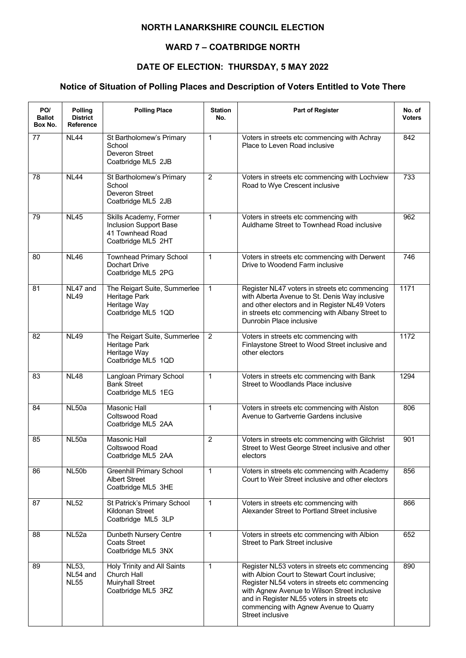### **WARD 7 – COATBRIDGE NORTH**

## **DATE OF ELECTION: THURSDAY, 5 MAY 2022**

| PO/<br><b>Ballot</b><br>Box No. | Polling<br><b>District</b><br>Reference | <b>Polling Place</b>                                                                        | <b>Station</b><br>No. | <b>Part of Register</b>                                                                                                                                                                                                                                                                                       | No. of<br><b>Voters</b> |
|---------------------------------|-----------------------------------------|---------------------------------------------------------------------------------------------|-----------------------|---------------------------------------------------------------------------------------------------------------------------------------------------------------------------------------------------------------------------------------------------------------------------------------------------------------|-------------------------|
| 77                              | <b>NL44</b>                             | St Bartholomew's Primary<br>School<br>Deveron Street<br>Coatbridge ML5 2JB                  | $\mathbf 1$           | Voters in streets etc commencing with Achray<br>Place to Leven Road inclusive                                                                                                                                                                                                                                 | 842                     |
| 78                              | <b>NL44</b>                             | St Bartholomew's Primary<br>School<br>Deveron Street<br>Coatbridge ML5 2JB                  | $\overline{2}$        | Voters in streets etc commencing with Lochview<br>Road to Wye Crescent inclusive                                                                                                                                                                                                                              | 733                     |
| 79                              | <b>NL45</b>                             | Skills Academy, Former<br>Inclusion Support Base<br>41 Townhead Road<br>Coatbridge ML5 2HT  | $\mathbf{1}$          | Voters in streets etc commencing with<br>Auldhame Street to Townhead Road inclusive                                                                                                                                                                                                                           | 962                     |
| 80                              | <b>NL46</b>                             | <b>Townhead Primary School</b><br>Dochart Drive<br>Coatbridge ML5 2PG                       | $\mathbf{1}$          | Voters in streets etc commencing with Derwent<br>Drive to Woodend Farm inclusive                                                                                                                                                                                                                              | 746                     |
| 81                              | NL47 and<br><b>NL49</b>                 | The Reigart Suite, Summerlee<br>Heritage Park<br>Heritage Way<br>Coatbridge ML5 1QD         | $\mathbf{1}$          | Register NL47 voters in streets etc commencing<br>with Alberta Avenue to St. Denis Way inclusive<br>and other electors and in Register NL49 Voters<br>in streets etc commencing with Albany Street to<br>Dunrobin Place inclusive                                                                             | 1171                    |
| 82                              | <b>NL49</b>                             | The Reigart Suite, Summerlee<br>Heritage Park<br>Heritage Way<br>Coatbridge ML5 1QD         | $\overline{2}$        | Voters in streets etc commencing with<br>Finlaystone Street to Wood Street inclusive and<br>other electors                                                                                                                                                                                                    | 1172                    |
| 83                              | <b>NL48</b>                             | Langloan Primary School<br><b>Bank Street</b><br>Coatbridge ML5 1EG                         | $\mathbf{1}$          | Voters in streets etc commencing with Bank<br>Street to Woodlands Place inclusive                                                                                                                                                                                                                             | 1294                    |
| 84                              | NL50a                                   | <b>Masonic Hall</b><br>Coltswood Road<br>Coatbridge ML5 2AA                                 | $\mathbf{1}$          | Voters in streets etc commencing with Alston<br>Avenue to Gartverrie Gardens inclusive                                                                                                                                                                                                                        | 806                     |
| 85                              | NL50a                                   | <b>Masonic Hall</b><br>Coltswood Road<br>Coatbridge ML5 2AA                                 | $\overline{2}$        | Voters in streets etc commencing with Gilchrist<br>Street to West George Street inclusive and other<br>electors                                                                                                                                                                                               | 901                     |
| 86                              | NL50b                                   | <b>Greenhill Primary School</b><br><b>Albert Street</b><br>Coatbridge ML5 3HE               | $\mathbf{1}$          | Voters in streets etc commencing with Academy<br>Court to Weir Street inclusive and other electors                                                                                                                                                                                                            | 856                     |
| 87                              | <b>NL52</b>                             | St Patrick's Primary School<br>Kildonan Street<br>Coatbridge ML5 3LP                        | $\mathbf{1}$          | Voters in streets etc commencing with<br>Alexander Street to Portland Street inclusive                                                                                                                                                                                                                        | 866                     |
| 88                              | NL52a                                   | Dunbeth Nursery Centre<br><b>Coats Street</b><br>Coatbridge ML5 3NX                         | $\mathbf 1$           | Voters in streets etc commencing with Albion<br><b>Street to Park Street inclusive</b>                                                                                                                                                                                                                        | 652                     |
| 89                              | <b>NL53,</b><br>NL54 and<br><b>NL55</b> | Holy Trinity and All Saints<br>Church Hall<br><b>Muiryhall Street</b><br>Coatbridge ML5 3RZ | $\mathbf{1}$          | Register NL53 voters in streets etc commencing<br>with Albion Court to Stewart Court inclusive;<br>Register NL54 voters in streets etc commencing<br>with Agnew Avenue to Wilson Street inclusive<br>and in Register NL55 voters in streets etc<br>commencing with Agnew Avenue to Quarry<br>Street inclusive | 890                     |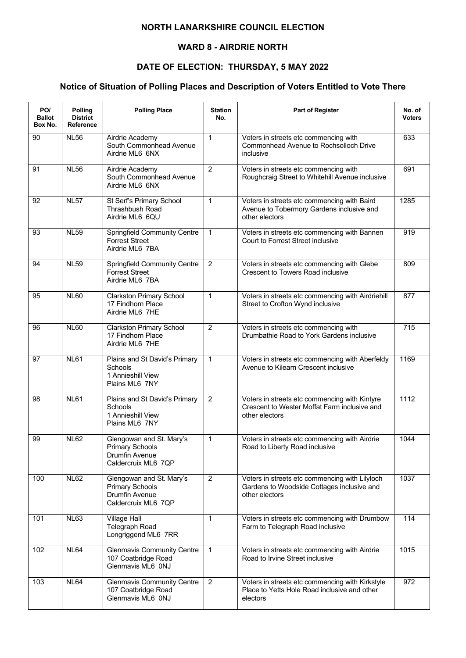### **WARD 8 - AIRDRIE NORTH**

## **DATE OF ELECTION: THURSDAY, 5 MAY 2022**

| PO/<br><b>Ballot</b><br>Box No. | <b>Polling</b><br><b>District</b><br><b>Reference</b> | <b>Polling Place</b>                                                                        | <b>Station</b><br>No. | <b>Part of Register</b>                                                                                         | No. of<br><b>Voters</b> |
|---------------------------------|-------------------------------------------------------|---------------------------------------------------------------------------------------------|-----------------------|-----------------------------------------------------------------------------------------------------------------|-------------------------|
| 90                              | <b>NL56</b>                                           | Airdrie Academy<br>South Commonhead Avenue<br>Airdrie ML6 6NX                               | $\mathbf{1}$          | Voters in streets etc commencing with<br>Commonhead Avenue to Rochsolloch Drive<br>inclusive                    | 633                     |
| 91                              | <b>NL56</b>                                           | Airdrie Academy<br>South Commonhead Avenue<br>Airdrie ML6 6NX                               | $\overline{2}$        | Voters in streets etc commencing with<br>Roughcraig Street to Whitehill Avenue inclusive                        | 691                     |
| 92                              | <b>NL57</b>                                           | St Serf's Primary School<br>Thrashbush Road<br>Airdrie ML6 6QU                              | $\mathbf 1$           | Voters in streets etc commencing with Baird<br>Avenue to Tobermory Gardens inclusive and<br>other electors      | 1285                    |
| 93                              | <b>NL59</b>                                           | <b>Springfield Community Centre</b><br><b>Forrest Street</b><br>Airdrie ML6 7BA             | $\mathbf 1$           | Voters in streets etc commencing with Bannen<br>Court to Forrest Street inclusive                               | 919                     |
| 94                              | <b>NL59</b>                                           | <b>Springfield Community Centre</b><br><b>Forrest Street</b><br>Airdrie ML6 7BA             | $\overline{2}$        | Voters in streets etc commencing with Glebe<br><b>Crescent to Towers Road inclusive</b>                         | 809                     |
| 95                              | <b>NL60</b>                                           | <b>Clarkston Primary School</b><br>17 Findhorn Place<br>Airdrie ML6 7HE                     | $\mathbf{1}$          | Voters in streets etc commencing with Airdriehill<br>Street to Crofton Wynd inclusive                           | 877                     |
| 96                              | <b>NL60</b>                                           | <b>Clarkston Primary School</b><br>17 Findhorn Place<br>Airdrie ML6 7HE                     | $\overline{2}$        | Voters in streets etc commencing with<br>Drumbathie Road to York Gardens inclusive                              | $\overline{715}$        |
| 97                              | <b>NL61</b>                                           | Plains and St David's Primary<br>Schools<br>1 Annieshill View<br>Plains ML6 7NY             | $\mathbf{1}$          | Voters in streets etc commencing with Aberfeldy<br>Avenue to Kilearn Crescent inclusive                         | 1169                    |
| 98                              | <b>NL61</b>                                           | Plains and St David's Primary<br>Schools<br>1 Annieshill View<br>Plains ML6 7NY             | $\overline{2}$        | Voters in streets etc commencing with Kintyre<br>Crescent to Wester Moffat Farm inclusive and<br>other electors | 1112                    |
| 99                              | <b>NL62</b>                                           | Glengowan and St. Mary's<br><b>Primary Schools</b><br>Drumfin Avenue<br>Caldercruix ML6 7QP | 1                     | Voters in streets etc commencing with Airdrie<br>Road to Liberty Road inclusive                                 | 1044                    |
| 100                             | <b>NL62</b>                                           | Glengowan and St. Mary's<br><b>Primary Schools</b><br>Drumfin Avenue<br>Caldercruix ML6 7QP | $\overline{c}$        | Voters in streets etc commencing with Lilyloch<br>Gardens to Woodside Cottages inclusive and<br>other electors  | 1037                    |
| 101                             | <b>NL63</b>                                           | <b>Village Hall</b><br>Telegraph Road<br>Longriggend ML6 7RR                                | $\mathbf{1}$          | Voters in streets etc commencing with Drumbow<br>Farm to Telegraph Road inclusive                               | 114                     |
| 102                             | <b>NL64</b>                                           | <b>Glenmavis Community Centre</b><br>107 Coatbridge Road<br>Glenmavis ML6 0NJ               | $\mathbf{1}$          | Voters in streets etc commencing with Airdrie<br>Road to Irvine Street inclusive                                | 1015                    |
| 103                             | <b>NL64</b>                                           | <b>Glenmavis Community Centre</b><br>107 Coatbridge Road<br>Glenmavis ML6 0NJ               | 2                     | Voters in streets etc commencing with Kirkstyle<br>Place to Yetts Hole Road inclusive and other<br>electors     | 972                     |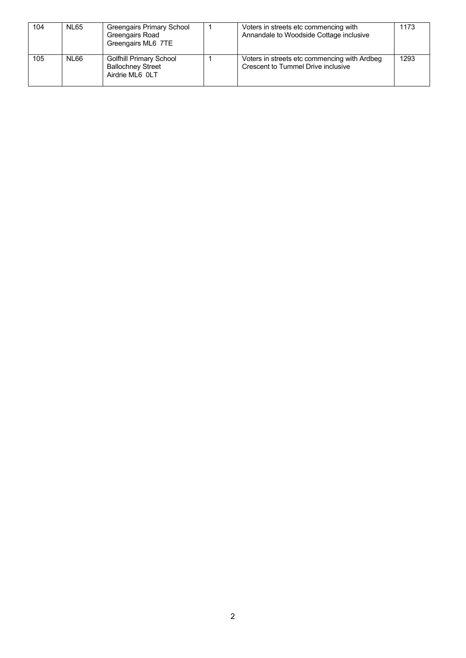| 104 | <b>NL65</b> | Greengairs Primary School<br>Greengairs Road<br>Greengairs ML6 7TE            | Voters in streets etc commencing with<br>Annandale to Woodside Cottage inclusive   | 1173 |
|-----|-------------|-------------------------------------------------------------------------------|------------------------------------------------------------------------------------|------|
| 105 | NL66        | <b>Golfhill Primary School</b><br><b>Ballochney Street</b><br>Airdrie ML6 0LT | Voters in streets etc commencing with Ardbeg<br>Crescent to Tummel Drive inclusive | 1293 |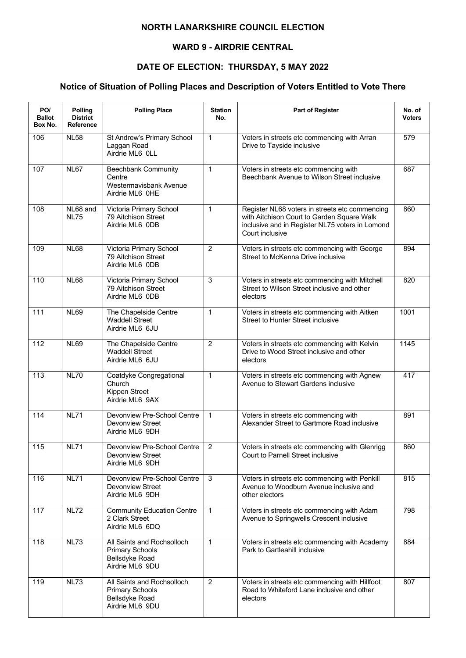### **WARD 9 - AIRDRIE CENTRAL**

## **DATE OF ELECTION: THURSDAY, 5 MAY 2022**

| PO/<br><b>Ballot</b><br>Box No. | Polling<br><b>District</b><br>Reference | <b>Polling Place</b>                                                                      | <b>Station</b><br>No. | <b>Part of Register</b>                                                                                                                                            | No. of<br><b>Voters</b> |
|---------------------------------|-----------------------------------------|-------------------------------------------------------------------------------------------|-----------------------|--------------------------------------------------------------------------------------------------------------------------------------------------------------------|-------------------------|
| 106                             | <b>NL58</b>                             | St Andrew's Primary School<br>Laggan Road<br>Airdrie ML6 0LL                              | $\mathbf{1}$          | Voters in streets etc commencing with Arran<br>Drive to Tayside inclusive                                                                                          | 579                     |
| 107                             | <b>NL67</b>                             | <b>Beechbank Community</b><br>Centre<br>Westermavisbank Avenue<br>Airdrie ML6 0HE         | $\mathbf{1}$          | Voters in streets etc commencing with<br>Beechbank Avenue to Wilson Street inclusive                                                                               | 687                     |
| 108                             | NL68 and<br><b>NL75</b>                 | Victoria Primary School<br>79 Aitchison Street<br>Airdrie ML6 0DB                         | $\mathbf{1}$          | Register NL68 voters in streets etc commencing<br>with Aitchison Court to Garden Square Walk<br>inclusive and in Register NL75 voters in Lomond<br>Court inclusive | 860                     |
| 109                             | <b>NL68</b>                             | Victoria Primary School<br>79 Aitchison Street<br>Airdrie ML6 ODB                         | $\overline{2}$        | Voters in streets etc commencing with George<br>Street to McKenna Drive inclusive                                                                                  | 894                     |
| 110                             | <b>NL68</b>                             | Victoria Primary School<br>79 Aitchison Street<br>Airdrie ML6 0DB                         | $\overline{3}$        | Voters in streets etc commencing with Mitchell<br>Street to Wilson Street inclusive and other<br>electors                                                          | 820                     |
| 111                             | <b>NL69</b>                             | The Chapelside Centre<br><b>Waddell Street</b><br>Airdrie ML6 6JU                         | $\mathbf{1}$          | Voters in streets etc commencing with Aitken<br><b>Street to Hunter Street inclusive</b>                                                                           | 1001                    |
| $\overline{112}$                | <b>NL69</b>                             | The Chapelside Centre<br><b>Waddell Street</b><br>Airdrie ML6 6JU                         | $\overline{2}$        | Voters in streets etc commencing with Kelvin<br>Drive to Wood Street inclusive and other<br>electors                                                               | 1145                    |
| 113                             | <b>NL70</b>                             | Coatdyke Congregational<br>Church<br>Kippen Street<br>Airdrie ML6 9AX                     | $\mathbf{1}$          | Voters in streets etc commencing with Agnew<br>Avenue to Stewart Gardens inclusive                                                                                 | 417                     |
| 114                             | <b>NL71</b>                             | Devonview Pre-School Centre<br><b>Devonview Street</b><br>Airdrie ML6 9DH                 | $\mathbf{1}$          | Voters in streets etc commencing with<br>Alexander Street to Gartmore Road inclusive                                                                               | 891                     |
| 115                             | <b>NL71</b>                             | Devonview Pre-School Centre<br>Devonview Street<br>Airdrie ML6 9DH                        | $\overline{2}$        | Voters in streets etc commencing with Glenrigg<br>Court to Parnell Street inclusive                                                                                | 860                     |
| 116                             | <b>NL71</b>                             | Devonview Pre-School Centre<br>Devonview Street<br>Airdrie ML6 9DH                        | 3                     | Voters in streets etc commencing with Penkill<br>Avenue to Woodburn Avenue inclusive and<br>other electors                                                         | 815                     |
| 117                             | <b>NL72</b>                             | <b>Community Education Centre</b><br>2 Clark Street<br>Airdrie ML6 6DQ                    | $\mathbf{1}$          | Voters in streets etc commencing with Adam<br>Avenue to Springwells Crescent inclusive                                                                             | 798                     |
| 118                             | <b>NL73</b>                             | All Saints and Rochsolloch<br><b>Primary Schools</b><br>Bellsdyke Road<br>Airdrie ML6 9DU | $\mathbf{1}$          | Voters in streets etc commencing with Academy<br>Park to Gartleahill inclusive                                                                                     | 884                     |
| 119                             | <b>NL73</b>                             | All Saints and Rochsolloch<br><b>Primary Schools</b><br>Bellsdyke Road<br>Airdrie ML6 9DU | $\overline{2}$        | Voters in streets etc commencing with Hillfoot<br>Road to Whiteford Lane inclusive and other<br>electors                                                           | 807                     |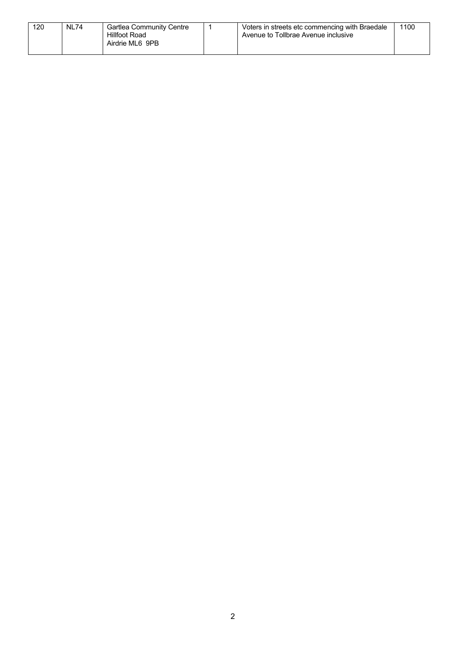| 120<br><b>NL74</b><br>Voters in streets etc commencing with Braedale<br>Gartlea Community Centre<br>Hillfoot Road<br>Avenue to Tollbrae Avenue inclusive<br>Airdrie ML6 9PB | 1100 |
|-----------------------------------------------------------------------------------------------------------------------------------------------------------------------------|------|
|-----------------------------------------------------------------------------------------------------------------------------------------------------------------------------|------|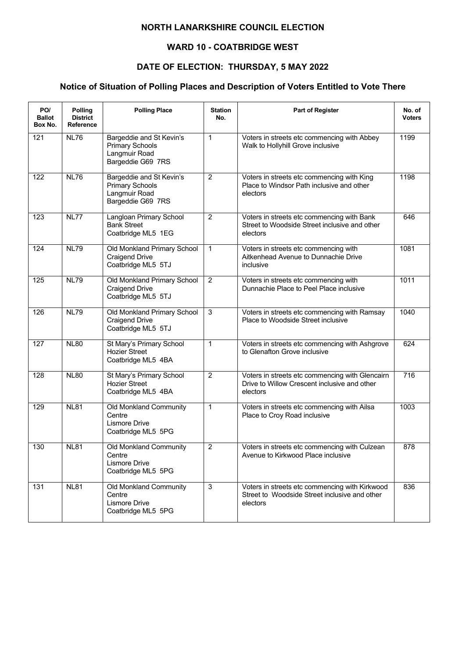### **WARD 10 - COATBRIDGE WEST**

## **DATE OF ELECTION: THURSDAY, 5 MAY 2022**

| PO/<br><b>Ballot</b><br>Box No. | <b>Polling</b><br><b>District</b><br><b>Reference</b> | <b>Polling Place</b>                                                                     | <b>Station</b><br>No. | <b>Part of Register</b>                                                                                     | No. of<br><b>Voters</b> |
|---------------------------------|-------------------------------------------------------|------------------------------------------------------------------------------------------|-----------------------|-------------------------------------------------------------------------------------------------------------|-------------------------|
| 121                             | NL76                                                  | Bargeddie and St Kevin's<br><b>Primary Schools</b><br>Langmuir Road<br>Bargeddie G69 7RS | $\mathbf{1}$          | Voters in streets etc commencing with Abbey<br>Walk to Hollyhill Grove inclusive                            | 1199                    |
| 122                             | <b>NL76</b>                                           | Bargeddie and St Kevin's<br><b>Primary Schools</b><br>Langmuir Road<br>Bargeddie G69 7RS | $\overline{2}$        | Voters in streets etc commencing with King<br>Place to Windsor Path inclusive and other<br>electors         | 1198                    |
| 123                             | NL77                                                  | Langloan Primary School<br><b>Bank Street</b><br>Coatbridge ML5 1EG                      | $\overline{2}$        | Voters in streets etc commencing with Bank<br>Street to Woodside Street inclusive and other<br>electors     | 646                     |
| 124                             | <b>NL79</b>                                           | Old Monkland Primary School<br><b>Craigend Drive</b><br>Coatbridge ML5 5TJ               | $\mathbf{1}$          | Voters in streets etc commencing with<br>Aitkenhead Avenue to Dunnachie Drive<br>inclusive                  | 1081                    |
| 125                             | <b>NL79</b>                                           | Old Monkland Primary School<br><b>Craigend Drive</b><br>Coatbridge ML5 5TJ               | $\overline{2}$        | Voters in streets etc commencing with<br>Dunnachie Place to Peel Place inclusive                            | 1011                    |
| 126                             | <b>NL79</b>                                           | Old Monkland Primary School<br><b>Craigend Drive</b><br>Coatbridge ML5 5TJ               | 3                     | Voters in streets etc commencing with Ramsay<br>Place to Woodside Street inclusive                          | 1040                    |
| 127                             | <b>NL80</b>                                           | St Mary's Primary School<br>Hozier Street<br>Coatbridge ML5 4BA                          | $\mathbf{1}$          | Voters in streets etc commencing with Ashgrove<br>to Glenafton Grove inclusive                              | 624                     |
| 128                             | <b>NL80</b>                                           | St Mary's Primary School<br><b>Hozier Street</b><br>Coatbridge ML5 4BA                   | $\overline{2}$        | Voters in streets etc commencing with Glencairn<br>Drive to Willow Crescent inclusive and other<br>electors | $\overline{716}$        |
| 129                             | <b>NL81</b>                                           | Old Monkland Community<br>Centre<br>Lismore Drive<br>Coatbridge ML5 5PG                  | $\mathbf{1}$          | Voters in streets etc commencing with Ailsa<br>Place to Croy Road inclusive                                 | 1003                    |
| 130                             | <b>NL81</b>                                           | Old Monkland Community<br>Centre<br>Lismore Drive<br>Coatbridge ML5 5PG                  | $\overline{2}$        | Voters in streets etc commencing with Culzean<br>Avenue to Kirkwood Place inclusive                         | 878                     |
| 131                             | <b>NL81</b>                                           | Old Monkland Community<br>Centre<br>Lismore Drive<br>Coatbridge ML5 5PG                  | 3                     | Voters in streets etc commencing with Kirkwood<br>Street to Woodside Street inclusive and other<br>electors | 836                     |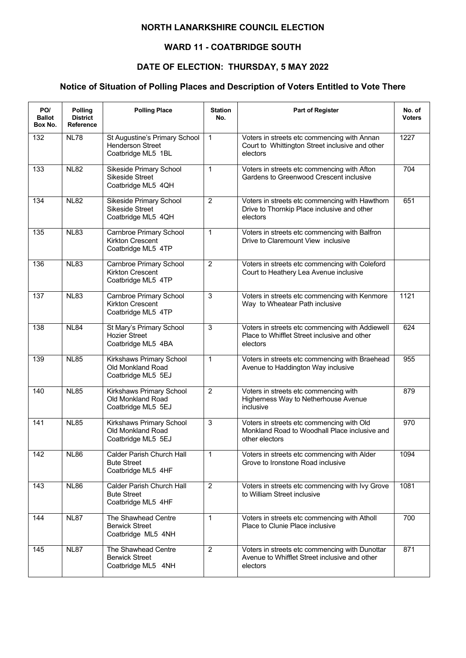### **WARD 11 - COATBRIDGE SOUTH**

## **DATE OF ELECTION: THURSDAY, 5 MAY 2022**

| PO/<br><b>Ballot</b><br>Box No. | <b>Polling</b><br><b>District</b><br><b>Reference</b> | <b>Polling Place</b>                                                           | <b>Station</b><br>No. | Part of Register                                                                                             | No. of<br><b>Voters</b> |
|---------------------------------|-------------------------------------------------------|--------------------------------------------------------------------------------|-----------------------|--------------------------------------------------------------------------------------------------------------|-------------------------|
| 132                             | <b>NL78</b>                                           | St Augustine's Primary School<br><b>Henderson Street</b><br>Coatbridge ML5 1BL | $\mathbf{1}$          | Voters in streets etc commencing with Annan<br>Court to Whittington Street inclusive and other<br>electors   | 1227                    |
| 133                             | <b>NL82</b>                                           | Sikeside Primary School<br>Sikeside Street<br>Coatbridge ML5 4QH               | 1                     | Voters in streets etc commencing with Afton<br>Gardens to Greenwood Crescent inclusive                       | 704                     |
| 134                             | <b>NL82</b>                                           | Sikeside Primary School<br>Sikeside Street<br>Coatbridge ML5 4QH               | $\overline{2}$        | Voters in streets etc commencing with Hawthorn<br>Drive to Thornkip Place inclusive and other<br>electors    | 651                     |
| 135                             | <b>NL83</b>                                           | Carnbroe Primary School<br><b>Kirkton Crescent</b><br>Coatbridge ML5 4TP       | $\mathbf{1}$          | Voters in streets etc commencing with Balfron<br>Drive to Claremount View inclusive                          |                         |
| 136                             | <b>NL83</b>                                           | Carnbroe Primary School<br>Kirkton Crescent<br>Coatbridge ML5 4TP              | $\overline{2}$        | Voters in streets etc commencing with Coleford<br>Court to Heathery Lea Avenue inclusive                     |                         |
| 137                             | <b>NL83</b>                                           | Carnbroe Primary School<br><b>Kirkton Crescent</b><br>Coatbridge ML5 4TP       | 3                     | Voters in streets etc commencing with Kenmore<br>Way to Wheatear Path inclusive                              | 1121                    |
| 138                             | <b>NL84</b>                                           | St Mary's Primary School<br><b>Hozier Street</b><br>Coatbridge ML5 4BA         | 3                     | Voters in streets etc commencing with Addiewell<br>Place to Whifflet Street inclusive and other<br>electors  | 624                     |
| 139                             | <b>NL85</b>                                           | Kirkshaws Primary School<br>Old Monkland Road<br>Coatbridge ML5 5EJ            | $\mathbf{1}$          | Voters in streets etc commencing with Braehead<br>Avenue to Haddington Way inclusive                         | 955                     |
| 140                             | <b>NL85</b>                                           | Kirkshaws Primary School<br>Old Monkland Road<br>Coatbridge ML5 5EJ            | $\overline{2}$        | Voters in streets etc commencing with<br>Higherness Way to Netherhouse Avenue<br>inclusive                   | 879                     |
| 141                             | <b>NL85</b>                                           | Kirkshaws Primary School<br>Old Monkland Road<br>Coatbridge ML5 5EJ            | 3                     | Voters in streets etc commencing with Old<br>Monkland Road to Woodhall Place inclusive and<br>other electors | 970                     |
| 142                             | <b>NL86</b>                                           | Calder Parish Church Hall<br><b>Bute Street</b><br>Coatbridge ML5 4HF          | 1                     | Voters in streets etc commencing with Alder<br>Grove to Ironstone Road inclusive                             | 1094                    |
| 143                             | <b>NL86</b>                                           | Calder Parish Church Hall<br><b>Bute Street</b><br>Coatbridge ML5 4HF          | $\overline{2}$        | Voters in streets etc commencing with Ivy Grove<br>to William Street inclusive                               | 1081                    |
| 144                             | <b>NL87</b>                                           | The Shawhead Centre<br><b>Berwick Street</b><br>Coatbridge ML5 4NH             | $\mathbf{1}$          | Voters in streets etc commencing with Atholl<br>Place to Clunie Place inclusive                              | 700                     |
| 145                             | <b>NL87</b>                                           | The Shawhead Centre<br><b>Berwick Street</b><br>Coatbridge ML5 4NH             | $\overline{2}$        | Voters in streets etc commencing with Dunottar<br>Avenue to Whifflet Street inclusive and other<br>electors  | 871                     |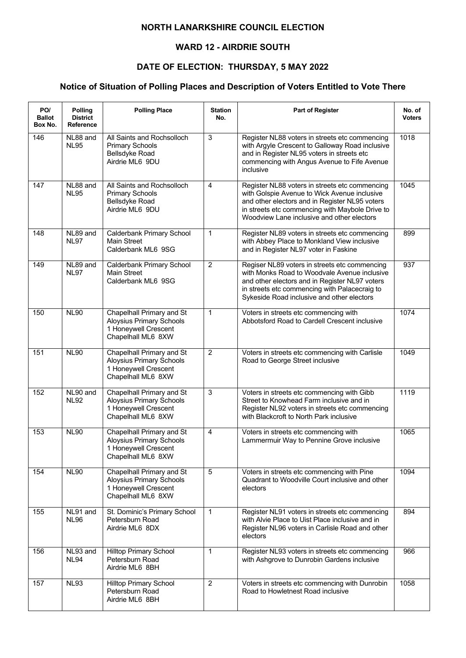### **WARD 12 - AIRDRIE SOUTH**

## **DATE OF ELECTION: THURSDAY, 5 MAY 2022**

| PO/<br><b>Ballot</b><br>Box No. | Polling<br><b>District</b><br>Reference | <b>Polling Place</b>                                                                                       | <b>Station</b><br>No. | <b>Part of Register</b>                                                                                                                                                                                                                           | No. of<br><b>Voters</b> |
|---------------------------------|-----------------------------------------|------------------------------------------------------------------------------------------------------------|-----------------------|---------------------------------------------------------------------------------------------------------------------------------------------------------------------------------------------------------------------------------------------------|-------------------------|
| 146                             | NL88 and<br><b>NL95</b>                 | All Saints and Rochsolloch<br><b>Primary Schools</b><br>Bellsdyke Road<br>Airdrie ML6 9DU                  | 3                     | Register NL88 voters in streets etc commencing<br>with Argyle Crescent to Galloway Road inclusive<br>and in Register NL95 voters in streets etc<br>commencing with Angus Avenue to Fife Avenue<br>inclusive                                       | 1018                    |
| 147                             | NL88 and<br><b>NL95</b>                 | All Saints and Rochsolloch<br><b>Primary Schools</b><br>Bellsdyke Road<br>Airdrie ML6 9DU                  | $\overline{4}$        | Register NL88 voters in streets etc commencing<br>with Golspie Avenue to Wick Avenue inclusive<br>and other electors and in Register NL95 voters<br>in streets etc commencing with Maybole Drive to<br>Woodview Lane inclusive and other electors | 1045                    |
| 148                             | NL89 and<br><b>NL97</b>                 | Calderbank Primary School<br>Main Street<br>Calderbank ML6 9SG                                             | 1                     | Register NL89 voters in streets etc commencing<br>with Abbey Place to Monkland View inclusive<br>and in Register NL97 voter in Faskine                                                                                                            | 899                     |
| 149                             | NL89 and<br><b>NL97</b>                 | Calderbank Primary School<br>Main Street<br>Calderbank ML6 9SG                                             | $\overline{2}$        | Regiser NL89 voters in streets etc commencing<br>with Monks Road to Woodvale Avenue inclusive<br>and other electors and in Register NL97 voters<br>in streets etc commencing with Palacecraig to<br>Sykeside Road inclusive and other electors    | 937                     |
| 150                             | <b>NL90</b>                             | Chapelhall Primary and St<br>Aloysius Primary Schools<br>1 Honeywell Crescent<br>Chapelhall ML6 8XW        | 1                     | Voters in streets etc commencing with<br>Abbotsford Road to Cardell Crescent inclusive                                                                                                                                                            | 1074                    |
| 151                             | <b>NL90</b>                             | Chapelhall Primary and St<br><b>Aloysius Primary Schools</b><br>1 Honeywell Crescent<br>Chapelhall ML6 8XW | $\overline{2}$        | Voters in streets etc commencing with Carlisle<br>Road to George Street inclusive                                                                                                                                                                 | 1049                    |
| 152                             | NL90 and<br><b>NL92</b>                 | Chapelhall Primary and St<br>Aloysius Primary Schools<br>1 Honeywell Crescent<br>Chapelhall ML6 8XW        | 3                     | Voters in streets etc commencing with Gibb<br>Street to Knowhead Farm inclusive and in<br>Register NL92 voters in streets etc commencing<br>with Blackcroft to North Park inclusive                                                               | 1119                    |
| 153                             | <b>NL90</b>                             | Chapelhall Primary and St<br>Aloysius Primary Schools<br>1 Honeywell Crescent<br>Chapelhall ML6 8XW        | $\overline{4}$        | Voters in streets etc commencing with<br>Lammermuir Way to Pennine Grove inclusive                                                                                                                                                                | 1065                    |
| 154                             | <b>NL90</b>                             | Chapelhall Primary and St<br><b>Aloysius Primary Schools</b><br>1 Honeywell Crescent<br>Chapelhall ML6 8XW | 5                     | Voters in streets etc commencing with Pine<br>Quadrant to Woodville Court inclusive and other<br>electors                                                                                                                                         | 1094                    |
| 155                             | NL91 and<br><b>NL96</b>                 | St. Dominic's Primary School<br>Petersburn Road<br>Airdrie ML6 8DX                                         | $\mathbf{1}$          | Register NL91 voters in streets etc commencing<br>with Alvie Place to Uist Place inclusive and in<br>Register NL96 voters in Carlisle Road and other<br>electors                                                                                  | 894                     |
| 156                             | NL93 and<br><b>NL94</b>                 | <b>Hilltop Primary School</b><br>Petersburn Road<br>Airdrie ML6 8BH                                        | $\mathbf{1}$          | Register NL93 voters in streets etc commencing<br>with Ashgrove to Dunrobin Gardens inclusive                                                                                                                                                     | 966                     |
| 157                             | <b>NL93</b>                             | <b>Hilltop Primary School</b><br>Petersburn Road<br>Airdrie ML6 8BH                                        | $\overline{2}$        | Voters in streets etc commencing with Dunrobin<br>Road to Howletnest Road inclusive                                                                                                                                                               | 1058                    |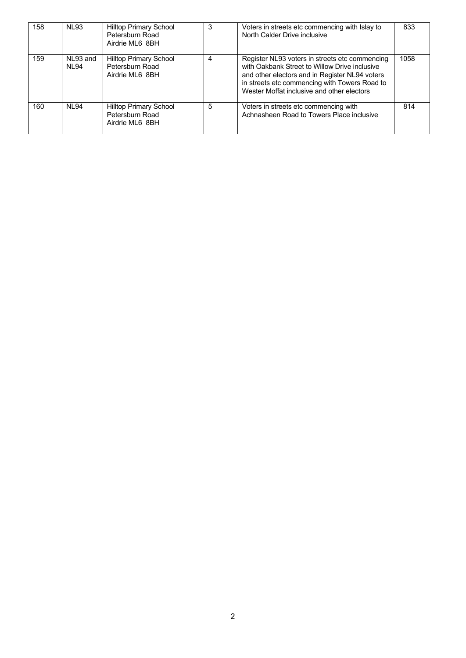| 158 | <b>NL93</b>       | <b>Hilltop Primary School</b><br>Petersburn Road<br>Airdrie ML6 8BH | 3 | Voters in streets etc commencing with Islay to<br>North Calder Drive inclusive                                                                                                                                                                   | 833  |
|-----|-------------------|---------------------------------------------------------------------|---|--------------------------------------------------------------------------------------------------------------------------------------------------------------------------------------------------------------------------------------------------|------|
| 159 | NL93 and<br>NI 94 | <b>Hilltop Primary School</b><br>Petersburn Road<br>Airdrie ML6 8BH | 4 | Register NL93 voters in streets etc commencing<br>with Oakbank Street to Willow Drive inclusive<br>and other electors and in Register NL94 voters<br>in streets etc commencing with Towers Road to<br>Wester Moffat inclusive and other electors | 1058 |
| 160 | NI 94             | <b>Hilltop Primary School</b><br>Petersburn Road<br>Airdrie ML6 8BH | 5 | Voters in streets etc commencing with<br>Achnasheen Road to Towers Place inclusive                                                                                                                                                               | 814  |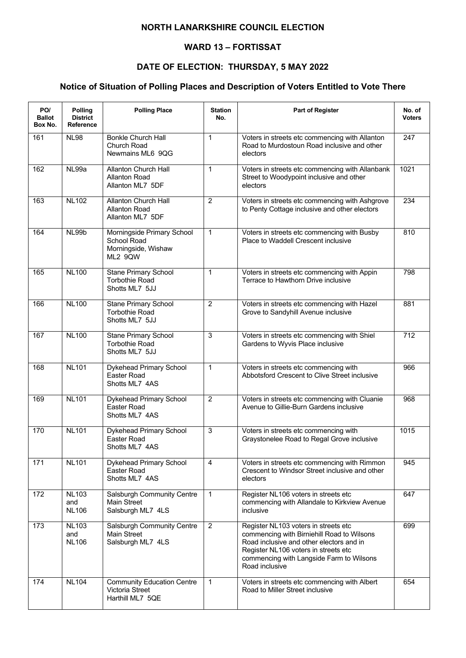### **WARD 13 – FORTISSAT**

## **DATE OF ELECTION: THURSDAY, 5 MAY 2022**

| PO/<br><b>Ballot</b><br>Box No. | Polling<br><b>District</b><br>Reference | <b>Polling Place</b>                                                        | <b>Station</b><br>No. | Part of Register                                                                                                                                                                                                                     | No. of<br><b>Voters</b> |
|---------------------------------|-----------------------------------------|-----------------------------------------------------------------------------|-----------------------|--------------------------------------------------------------------------------------------------------------------------------------------------------------------------------------------------------------------------------------|-------------------------|
| 161                             | <b>NL98</b>                             | <b>Bonkle Church Hall</b><br>Church Road<br>Newmains ML6 9QG                | $\mathbf{1}$          | Voters in streets etc commencing with Allanton<br>Road to Murdostoun Road inclusive and other<br>electors                                                                                                                            | 247                     |
| 162                             | NL99a                                   | <b>Allanton Church Hall</b><br><b>Allanton Road</b><br>Allanton ML7 5DF     | $\mathbf{1}$          | Voters in streets etc commencing with Allanbank<br>Street to Woodypoint inclusive and other<br>electors                                                                                                                              | $\frac{1021}{2}$        |
| 163                             | <b>NL102</b>                            | <b>Allanton Church Hall</b><br><b>Allanton Road</b><br>Allanton ML7 5DF     | $\overline{2}$        | Voters in streets etc commencing with Ashgrove<br>to Penty Cottage inclusive and other electors                                                                                                                                      | 234                     |
| 164                             | NL99b                                   | Morningside Primary School<br>School Road<br>Morningside, Wishaw<br>ML2 9QW | $\mathbf{1}$          | Voters in streets etc commencing with Busby<br>Place to Waddell Crescent inclusive                                                                                                                                                   | 810                     |
| 165                             | <b>NL100</b>                            | Stane Primary School<br><b>Torbothie Road</b><br>Shotts ML7 5JJ             | $\mathbf{1}$          | Voters in streets etc commencing with Appin<br>Terrace to Hawthorn Drive inclusive                                                                                                                                                   | 798                     |
| 166                             | <b>NL100</b>                            | <b>Stane Primary School</b><br><b>Torbothie Road</b><br>Shotts ML7 5JJ      | $\overline{2}$        | Voters in streets etc commencing with Hazel<br>Grove to Sandyhill Avenue inclusive                                                                                                                                                   | 881                     |
| 167                             | <b>NL100</b>                            | <b>Stane Primary School</b><br><b>Torbothie Road</b><br>Shotts ML7 5JJ      | 3                     | Voters in streets etc commencing with Shiel<br>Gardens to Wyvis Place inclusive                                                                                                                                                      | 712                     |
| 168                             | <b>NL101</b>                            | Dykehead Primary School<br>Easter Road<br>Shotts ML7 4AS                    | $\mathbf{1}$          | Voters in streets etc commencing with<br>Abbotsford Crescent to Clive Street inclusive                                                                                                                                               | 966                     |
| 169                             | <b>NL101</b>                            | Dykehead Primary School<br>Easter Road<br>Shotts ML7 4AS                    | $\overline{2}$        | Voters in streets etc commencing with Cluanie<br>Avenue to Gillie-Burn Gardens inclusive                                                                                                                                             | 968                     |
| 170                             | <b>NL101</b>                            | Dykehead Primary School<br>Easter Road<br>Shotts ML7 4AS                    | $\overline{3}$        | Voters in streets etc commencing with<br>Graystonelee Road to Regal Grove inclusive                                                                                                                                                  | 1015                    |
| 171                             | <b>NL101</b>                            | Dykehead Primary School<br>Easter Road<br>Shotts ML7 4AS                    | 4                     | Voters in streets etc commencing with Rimmon<br>Crescent to Windsor Street inclusive and other<br>electors                                                                                                                           | 945                     |
| 172                             | <b>NL103</b><br>and<br><b>NL106</b>     | Salsburgh Community Centre<br>Main Street<br>Salsburgh ML7 4LS              | $\mathbf{1}$          | Register NL106 voters in streets etc<br>commencing with Allandale to Kirkview Avenue<br>inclusive                                                                                                                                    | 647                     |
| 173                             | <b>NL103</b><br>and<br><b>NL106</b>     | Salsburgh Community Centre<br><b>Main Street</b><br>Salsburgh ML7 4LS       | $\overline{2}$        | Register NL103 voters in streets etc<br>commencing with Birniehill Road to Wilsons<br>Road inclusive and other electors and in<br>Register NL106 voters in streets etc<br>commencing with Langside Farm to Wilsons<br>Road inclusive | 699                     |
| 174                             | <b>NL104</b>                            | <b>Community Education Centre</b><br>Victoria Street<br>Harthill ML7 5QE    | $\mathbf{1}$          | Voters in streets etc commencing with Albert<br>Road to Miller Street inclusive                                                                                                                                                      | 654                     |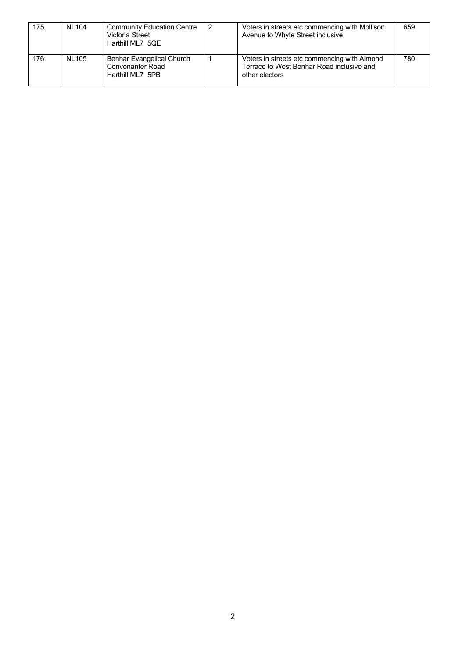| 175 | <b>NL104</b> | <b>Community Education Centre</b><br>Victoria Street<br>Harthill ML7 5QE | Voters in streets etc commencing with Mollison<br>Avenue to Whyte Street inclusive                          | 659 |
|-----|--------------|--------------------------------------------------------------------------|-------------------------------------------------------------------------------------------------------------|-----|
| 176 | NL105        | Benhar Evangelical Church<br><b>Convenanter Road</b><br>Harthill ML7 5PB | Voters in streets etc commencing with Almond<br>Terrace to West Benhar Road inclusive and<br>other electors | 780 |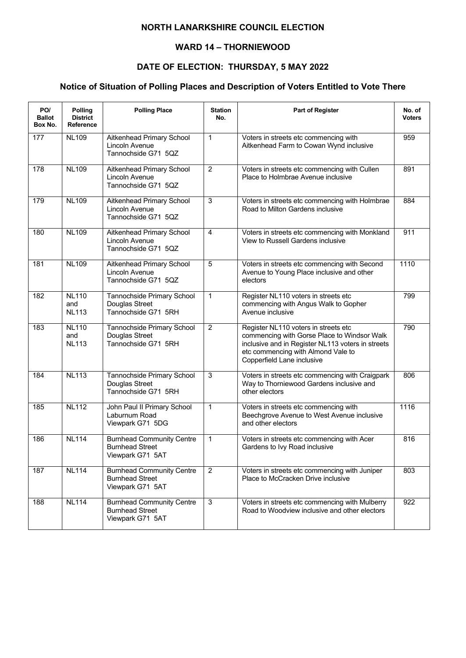### **WARD 14 – THORNIEWOOD**

## **DATE OF ELECTION: THURSDAY, 5 MAY 2022**

| PO/<br><b>Ballot</b><br>Box No. | Polling<br><b>District</b><br>Reference | <b>Polling Place</b>                                                           | <b>Station</b><br>No. | <b>Part of Register</b>                                                                                                                                                                                      | No. of<br><b>Voters</b> |
|---------------------------------|-----------------------------------------|--------------------------------------------------------------------------------|-----------------------|--------------------------------------------------------------------------------------------------------------------------------------------------------------------------------------------------------------|-------------------------|
| 177                             | <b>NL109</b>                            | Aitkenhead Primary School<br>Lincoln Avenue<br>Tannochside G71 5QZ             | $\mathbf{1}$          | Voters in streets etc commencing with<br>Aitkenhead Farm to Cowan Wynd inclusive                                                                                                                             | 959                     |
| 178                             | <b>NL109</b>                            | Aitkenhead Primary School<br>Lincoln Avenue<br>Tannochside G71 5QZ             | $\overline{2}$        | Voters in streets etc commencing with Cullen<br>Place to Holmbrae Avenue inclusive                                                                                                                           | 891                     |
| 179                             | <b>NL109</b>                            | Aitkenhead Primary School<br>Lincoln Avenue<br>Tannochside G71 5QZ             | 3                     | Voters in streets etc commencing with Holmbrae<br>Road to Milton Gardens inclusive                                                                                                                           | 884                     |
| 180                             | <b>NL109</b>                            | Aitkenhead Primary School<br>Lincoln Avenue<br>Tannochside G71 5QZ             | $\overline{4}$        | Voters in streets etc commencing with Monkland<br>View to Russell Gardens inclusive                                                                                                                          | 911                     |
| 181                             | <b>NL109</b>                            | Aitkenhead Primary School<br>Lincoln Avenue<br>Tannochside G71 5QZ             | 5                     | Voters in streets etc commencing with Second<br>Avenue to Young Place inclusive and other<br>electors                                                                                                        | 1110                    |
| 182                             | <b>NL110</b><br>and<br><b>NL113</b>     | Tannochside Primary School<br>Douglas Street<br>Tannochside G71 5RH            | $\mathbf{1}$          | Register NL110 voters in streets etc<br>commencing with Angus Walk to Gopher<br>Avenue inclusive                                                                                                             | 799                     |
| 183                             | <b>NL110</b><br>and<br><b>NL113</b>     | Tannochside Primary School<br>Douglas Street<br>Tannochside G71 5RH            | 2                     | Register NL110 voters in streets etc<br>commencing with Gorse Place to Windsor Walk<br>inclusive and in Register NL113 voters in streets<br>etc commencing with Almond Vale to<br>Copperfield Lane inclusive | 790                     |
| 184                             | <b>NL113</b>                            | Tannochside Primary School<br>Douglas Street<br>Tannochside G71 5RH            | 3                     | Voters in streets etc commencing with Craigpark<br>Way to Thorniewood Gardens inclusive and<br>other electors                                                                                                | 806                     |
| 185                             | <b>NL112</b>                            | John Paul II Primary School<br>Laburnum Road<br>Viewpark G71 5DG               | $\mathbf{1}$          | Voters in streets etc commencing with<br>Beechgrove Avenue to West Avenue inclusive<br>and other electors                                                                                                    | 1116                    |
| 186                             | <b>NL114</b>                            | <b>Burnhead Community Centre</b><br><b>Burnhead Street</b><br>Viewpark G71 5AT | 1                     | Voters in streets etc commencing with Acer<br>Gardens to Ivy Road inclusive                                                                                                                                  | 816                     |
| 187                             | <b>NL114</b>                            | <b>Burnhead Community Centre</b><br><b>Burnhead Street</b><br>Viewpark G71 5AT | $\overline{2}$        | Voters in streets etc commencing with Juniper<br>Place to McCracken Drive inclusive                                                                                                                          | 803                     |
| 188                             | <b>NL114</b>                            | <b>Burnhead Community Centre</b><br><b>Burnhead Street</b><br>Viewpark G71 5AT | 3                     | Voters in streets etc commencing with Mulberry<br>Road to Woodview inclusive and other electors                                                                                                              | 922                     |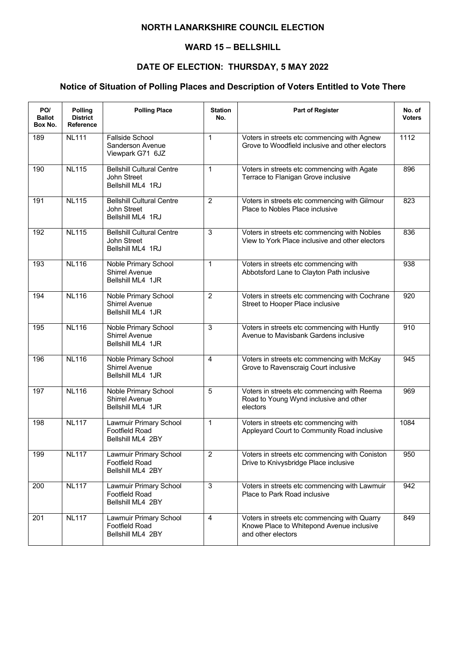### **WARD 15 – BELLSHILL**

# **DATE OF ELECTION: THURSDAY, 5 MAY 2022**

| PO/<br><b>Ballot</b><br>Box No. | Polling<br><b>District</b><br><b>Reference</b> | <b>Polling Place</b>                                                      | <b>Station</b><br>No. | Part of Register                                                                                                | No. of<br><b>Voters</b> |
|---------------------------------|------------------------------------------------|---------------------------------------------------------------------------|-----------------------|-----------------------------------------------------------------------------------------------------------------|-------------------------|
| 189                             | <b>NL111</b>                                   | Fallside School<br>Sanderson Avenue<br>Viewpark G71 6JZ                   | $\mathbf{1}$          | Voters in streets etc commencing with Agnew<br>Grove to Woodfield inclusive and other electors                  | 1112                    |
| 190                             | <b>NL115</b>                                   | <b>Bellshill Cultural Centre</b><br>John Street<br>Bellshill ML4 1RJ      | $\mathbf{1}$          | Voters in streets etc commencing with Agate<br>Terrace to Flanigan Grove inclusive                              | 896                     |
| 191                             | <b>NL115</b>                                   | <b>Bellshill Cultural Centre</b><br>John Street<br>Bellshill ML4 1RJ      | $\overline{2}$        | Voters in streets etc commencing with Gilmour<br>Place to Nobles Place inclusive                                | 823                     |
| 192                             | <b>NL115</b>                                   | <b>Bellshill Cultural Centre</b><br>John Street<br>Bellshill ML4 1RJ      | 3                     | Voters in streets etc commencing with Nobles<br>View to York Place inclusive and other electors                 | 836                     |
| 193                             | <b>NL116</b>                                   | Noble Primary School<br><b>Shirrel Avenue</b><br>Bellshill ML4 1JR        | $\mathbf{1}$          | Voters in streets etc commencing with<br>Abbotsford Lane to Clayton Path inclusive                              | 938                     |
| 194                             | <b>NL116</b>                                   | <b>Noble Primary School</b><br><b>Shirrel Avenue</b><br>Bellshill ML4 1JR | $\overline{2}$        | Voters in streets etc commencing with Cochrane<br>Street to Hooper Place inclusive                              | 920                     |
| 195                             | <b>NL116</b>                                   | Noble Primary School<br><b>Shirrel Avenue</b><br>Bellshill ML4 1JR        | 3                     | Voters in streets etc commencing with Huntly<br>Avenue to Mavisbank Gardens inclusive                           | 910                     |
| 196                             | <b>NL116</b>                                   | Noble Primary School<br><b>Shirrel Avenue</b><br>Bellshill ML4 1JR        | $\overline{4}$        | Voters in streets etc commencing with McKay<br>Grove to Ravenscraig Court inclusive                             | 945                     |
| 197                             | <b>NL116</b>                                   | Noble Primary School<br><b>Shirrel Avenue</b><br>Bellshill ML4 1JR        | $\overline{5}$        | Voters in streets etc commencing with Reema<br>Road to Young Wynd inclusive and other<br>electors               | 969                     |
| 198                             | <b>NL117</b>                                   | Lawmuir Primary School<br>Footfield Road<br>Bellshill ML4 2BY             | $\mathbf{1}$          | Voters in streets etc commencing with<br>Appleyard Court to Community Road inclusive                            | 1084                    |
| 199                             | <b>NL117</b>                                   | Lawmuir Primary School<br><b>Footfield Road</b><br>Bellshill ML4 2BY      | $\overline{2}$        | Voters in streets etc commencing with Coniston<br>Drive to Knivysbridge Place inclusive                         | 950                     |
| 200                             | <b>NL117</b>                                   | Lawmuir Primary School<br>Footfield Road<br>Bellshill ML4 2BY             | $\mathbf{3}$          | Voters in streets etc commencing with Lawmuir<br>Place to Park Road inclusive                                   | 942                     |
| 201                             | <b>NL117</b>                                   | Lawmuir Primary School<br>Footfield Road<br>Bellshill ML4 2BY             | $\overline{4}$        | Voters in streets etc commencing with Quarry<br>Knowe Place to Whitepond Avenue inclusive<br>and other electors | 849                     |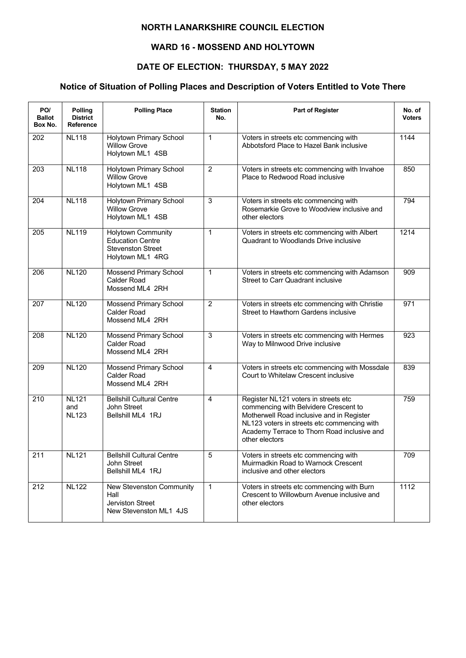### **WARD 16 - MOSSEND AND HOLYTOWN**

## **DATE OF ELECTION: THURSDAY, 5 MAY 2022**

| PO/<br><b>Ballot</b><br>Box No. | Polling<br><b>District</b><br><b>Reference</b> | <b>Polling Place</b>                                                                                 | <b>Station</b><br>No. | Part of Register                                                                                                                                                                                                                           | No. of<br><b>Voters</b> |
|---------------------------------|------------------------------------------------|------------------------------------------------------------------------------------------------------|-----------------------|--------------------------------------------------------------------------------------------------------------------------------------------------------------------------------------------------------------------------------------------|-------------------------|
| 202                             | <b>NL118</b>                                   | Holytown Primary School<br><b>Willow Grove</b><br>Holytown ML1 4SB                                   | $\mathbf{1}$          | Voters in streets etc commencing with<br>Abbotsford Place to Hazel Bank inclusive                                                                                                                                                          | 1144                    |
| 203                             | <b>NL118</b>                                   | <b>Holytown Primary School</b><br><b>Willow Grove</b><br>Holytown ML1 4SB                            | $\overline{2}$        | Voters in streets etc commencing with Invahoe<br>Place to Redwood Road inclusive                                                                                                                                                           | 850                     |
| 204                             | <b>NL118</b>                                   | Holytown Primary School<br><b>Willow Grove</b><br>Holytown ML1 4SB                                   | 3                     | Voters in streets etc commencing with<br>Rosemarkie Grove to Woodview inclusive and<br>other electors                                                                                                                                      | 794                     |
| 205                             | <b>NL119</b>                                   | <b>Holytown Community</b><br><b>Education Centre</b><br><b>Stevenston Street</b><br>Holytown ML1 4RG | $\mathbf{1}$          | Voters in streets etc commencing with Albert<br>Quadrant to Woodlands Drive inclusive                                                                                                                                                      | 1214                    |
| 206                             | <b>NL120</b>                                   | Mossend Primary School<br><b>Calder Road</b><br>Mossend ML4 2RH                                      | $\mathbf{1}$          | Voters in streets etc commencing with Adamson<br><b>Street to Carr Quadrant inclusive</b>                                                                                                                                                  | 909                     |
| 207                             | <b>NL120</b>                                   | <b>Mossend Primary School</b><br><b>Calder Road</b><br>Mossend ML4 2RH                               | $\overline{2}$        | Voters in streets etc commencing with Christie<br>Street to Hawthorn Gardens inclusive                                                                                                                                                     | 971                     |
| 208                             | <b>NL120</b>                                   | Mossend Primary School<br><b>Calder Road</b><br>Mossend ML4 2RH                                      | 3                     | Voters in streets etc commencing with Hermes<br>Way to Milnwood Drive inclusive                                                                                                                                                            | 923                     |
| 209                             | <b>NL120</b>                                   | <b>Mossend Primary School</b><br><b>Calder Road</b><br>Mossend ML4 2RH                               | $\overline{4}$        | Voters in streets etc commencing with Mossdale<br>Court to Whitelaw Crescent inclusive                                                                                                                                                     | 839                     |
| 210                             | <b>NL121</b><br>and<br><b>NL123</b>            | <b>Bellshill Cultural Centre</b><br>John Street<br>Bellshill ML4 1RJ                                 | 4                     | Register NL121 voters in streets etc<br>commencing with Belvidere Crescent to<br>Motherwell Road inclusive and in Register<br>NL123 voters in streets etc commencing with<br>Academy Terrace to Thorn Road inclusive and<br>other electors | 759                     |
| 211                             | <b>NL121</b>                                   | <b>Bellshill Cultural Centre</b><br>John Street<br>Bellshill ML4 1RJ                                 | 5                     | Voters in streets etc commencing with<br>Muirmadkin Road to Warnock Crescent<br>inclusive and other electors                                                                                                                               | 709                     |
| 212                             | <b>NL122</b>                                   | New Stevenston Community<br>Hall<br>Jerviston Street<br>New Stevenston ML1 4JS                       | $\mathbf{1}$          | Voters in streets etc commencing with Burn<br>Crescent to Willowburn Avenue inclusive and<br>other electors                                                                                                                                | 1112                    |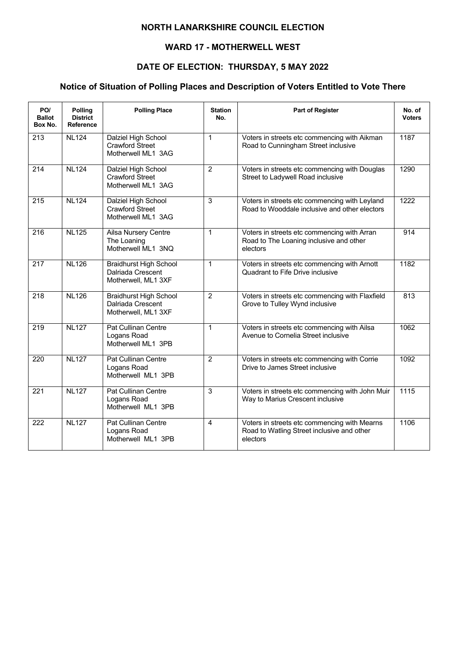### **WARD 17 - MOTHERWELL WEST**

## **DATE OF ELECTION: THURSDAY, 5 MAY 2022**

| PO/<br><b>Ballot</b><br>Box No. | Polling<br><b>District</b><br><b>Reference</b> | <b>Polling Place</b>                                                      | <b>Station</b><br>No. | <b>Part of Register</b>                                                                                | No. of<br><b>Voters</b> |
|---------------------------------|------------------------------------------------|---------------------------------------------------------------------------|-----------------------|--------------------------------------------------------------------------------------------------------|-------------------------|
| 213                             | <b>NL124</b>                                   | Dalziel High School<br><b>Crawford Street</b><br>Motherwell ML1 3AG       | $\mathbf{1}$          | Voters in streets etc commencing with Aikman<br>Road to Cunningham Street inclusive                    | 1187                    |
| 214                             | <b>NL124</b>                                   | Dalziel High School<br><b>Crawford Street</b><br>Motherwell ML1 3AG       | $\overline{2}$        | Voters in streets etc commencing with Douglas<br>Street to Ladywell Road inclusive                     | 1290                    |
| 215                             | <b>NL124</b>                                   | Dalziel High School<br>Crawford Street<br>Motherwell ML1 3AG              | 3                     | Voters in streets etc commencing with Leyland<br>Road to Wooddale inclusive and other electors         | 1222                    |
| 216                             | <b>NL125</b>                                   | Ailsa Nursery Centre<br>The Loaning<br>Motherwell ML1 3NQ                 | $\mathbf{1}$          | Voters in streets etc commencing with Arran<br>Road to The Loaning inclusive and other<br>electors     | 914                     |
| 217                             | <b>NL126</b>                                   | <b>Braidhurst High School</b><br>Dalriada Crescent<br>Motherwell, ML1 3XF | $\mathbf{1}$          | Voters in streets etc commencing with Arnott<br>Quadrant to Fife Drive inclusive                       | 1182                    |
| $\overline{218}$                | <b>NL126</b>                                   | <b>Braidhurst High School</b><br>Dalriada Crescent<br>Motherwell, ML1 3XF | $\overline{2}$        | Voters in streets etc commencing with Flaxfield<br>Grove to Tulley Wynd inclusive                      | 813                     |
| 219                             | <b>NL127</b>                                   | Pat Cullinan Centre<br>Logans Road<br>Motherwell ML1 3PB                  | $\mathbf{1}$          | Voters in streets etc commencing with Ailsa<br>Avenue to Cornelia Street inclusive                     | 1062                    |
| 220                             | <b>NL127</b>                                   | Pat Cullinan Centre<br>Logans Road<br>Motherwell ML1 3PB                  | $\overline{2}$        | Voters in streets etc commencing with Corrie<br>Drive to James Street inclusive                        | 1092                    |
| 221                             | <b>NL127</b>                                   | Pat Cullinan Centre<br>Logans Road<br>Motherwell ML1 3PB                  | 3                     | Voters in streets etc commencing with John Muir<br>Way to Marius Crescent inclusive                    | 1115                    |
| 222                             | <b>NL127</b>                                   | Pat Cullinan Centre<br>Logans Road<br>Motherwell ML1 3PB                  | $\overline{4}$        | Voters in streets etc commencing with Mearns<br>Road to Watling Street inclusive and other<br>electors | 1106                    |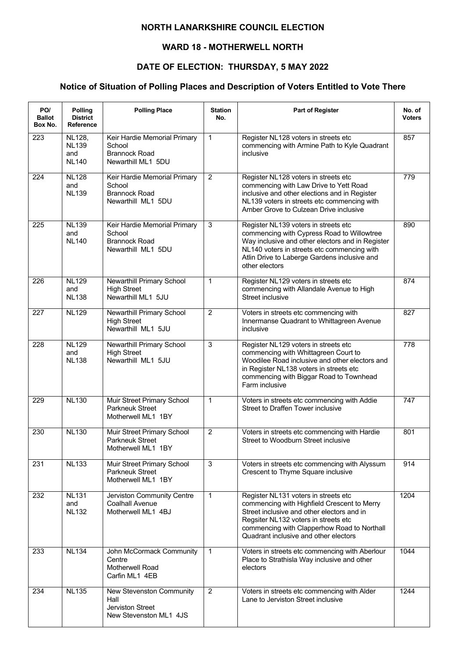### **WARD 18 - MOTHERWELL NORTH**

## **DATE OF ELECTION: THURSDAY, 5 MAY 2022**

| PO/<br><b>Ballot</b><br>Box No. | <b>Polling</b><br><b>District</b><br>Reference | <b>Polling Place</b>                                                                 | <b>Station</b><br>No. | <b>Part of Register</b>                                                                                                                                                                                                                                           | No. of<br><b>Voters</b> |
|---------------------------------|------------------------------------------------|--------------------------------------------------------------------------------------|-----------------------|-------------------------------------------------------------------------------------------------------------------------------------------------------------------------------------------------------------------------------------------------------------------|-------------------------|
| 223                             | NL128,<br><b>NL139</b><br>and<br><b>NL140</b>  | Keir Hardie Memorial Primary<br>School<br><b>Brannock Road</b><br>Newarthill ML1 5DU | $\mathbf{1}$          | Register NL128 voters in streets etc<br>commencing with Armine Path to Kyle Quadrant<br>inclusive                                                                                                                                                                 | 857                     |
| 224                             | <b>NL128</b><br>and<br><b>NL139</b>            | Keir Hardie Memorial Primary<br>School<br><b>Brannock Road</b><br>Newarthill ML1 5DU | $\overline{2}$        | Register NL128 voters in streets etc<br>commencing with Law Drive to Yett Road<br>inclusive and other elections and in Register<br>NL139 voters in streets etc commencing with<br>Amber Grove to Culzean Drive inclusive                                          | 779                     |
| 225                             | <b>NL139</b><br>and<br><b>NL140</b>            | Keir Hardie Memorial Primary<br>School<br><b>Brannock Road</b><br>Newarthill ML1 5DU | 3                     | Register NL139 voters in streets etc<br>commencing with Cypress Road to Willowtree<br>Way inclusive and other electors and in Register<br>NL140 voters in streets etc commencing with<br>Atlin Drive to Laberge Gardens inclusive and<br>other electors           | 890                     |
| 226                             | <b>NL129</b><br>and<br><b>NL138</b>            | Newarthill Primary School<br><b>High Street</b><br>Newarthill ML1 5JU                | $\mathbf{1}$          | Register NL129 voters in streets etc<br>commencing with Allandale Avenue to High<br>Street inclusive                                                                                                                                                              | 874                     |
| 227                             | <b>NL129</b>                                   | Newarthill Primary School<br><b>High Street</b><br>Newarthill ML1 5JU                | $\overline{2}$        | Voters in streets etc commencing with<br>Innermanse Quadrant to Whittagreen Avenue<br>inclusive                                                                                                                                                                   | 827                     |
| 228                             | <b>NL129</b><br>and<br><b>NL138</b>            | Newarthill Primary School<br><b>High Street</b><br>Newarthill ML1 5JU                | 3                     | Register NL129 voters in streets etc<br>commencing with Whittagreen Court to<br>Woodilee Road inclusive and other electors and<br>in Register NL138 voters in streets etc<br>commencing with Biggar Road to Townhead<br>Farm inclusive                            | 778                     |
| 229                             | <b>NL130</b>                                   | Muir Street Primary School<br><b>Parkneuk Street</b><br>Motherwell ML1 1BY           | $\mathbf 1$           | Voters in streets etc commencing with Addie<br><b>Street to Draffen Tower inclusive</b>                                                                                                                                                                           | 747                     |
| 230                             | <b>NL130</b>                                   | Muir Street Primary School<br>Parkneuk Street<br>Motherwell ML1 1BY                  | $\overline{2}$        | Voters in streets etc commencing with Hardie<br>Street to Woodburn Street inclusive                                                                                                                                                                               | 801                     |
| 231                             | <b>NL133</b>                                   | Muir Street Primary School<br>Parkneuk Street<br>Motherwell ML1 1BY                  | $\overline{3}$        | Voters in streets etc commencing with Alyssum<br>Crescent to Thyme Square inclusive                                                                                                                                                                               | 914                     |
| 232                             | <b>NL131</b><br>and<br><b>NL132</b>            | Jerviston Community Centre<br><b>Coalhall Avenue</b><br>Motherwell ML1 4BJ           | $\mathbf{1}$          | Register NL131 voters in streets etc<br>commencing with Highfield Crescent to Merry<br>Street inclusive and other electors and in<br>Regsiter NL132 voters in streets etc<br>commencing with Clapperhow Road to Northall<br>Quadrant inclusive and other electors | 1204                    |
| 233                             | <b>NL134</b>                                   | John McCormack Community<br>Centre<br>Motherwell Road<br>Carfin ML1 4EB              | $\mathbf{1}$          | Voters in streets etc commencing with Aberlour<br>Place to Strathisla Way inclusive and other<br>electors                                                                                                                                                         | 1044                    |
| 234                             | <b>NL135</b>                                   | New Stevenston Community<br>Hall<br>Jerviston Street<br>New Stevenston ML1 4JS       | $\overline{2}$        | Voters in streets etc commencing with Alder<br>Lane to Jerviston Street inclusive                                                                                                                                                                                 | 1244                    |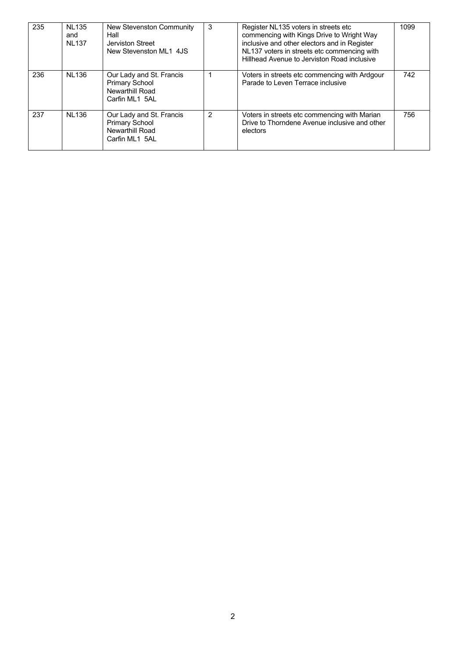| 235 | <b>NL135</b><br>and<br><b>NL137</b> | New Stevenston Community<br>Hall<br>Jerviston Street<br>New Stevenston ML1 4JS         | 3 | Register NL135 voters in streets etc<br>commencing with Kings Drive to Wright Way<br>inclusive and other electors and in Register<br>NL137 voters in streets etc commencing with<br>Hillhead Avenue to Jerviston Road inclusive | 1099 |
|-----|-------------------------------------|----------------------------------------------------------------------------------------|---|---------------------------------------------------------------------------------------------------------------------------------------------------------------------------------------------------------------------------------|------|
| 236 | <b>NL136</b>                        | Our Lady and St. Francis<br><b>Primary School</b><br>Newarthill Road<br>Carfin ML1 5AL |   | Voters in streets etc commencing with Ardgour<br>Parade to Leven Terrace inclusive                                                                                                                                              | 742  |
| 237 | <b>NL136</b>                        | Our Lady and St. Francis<br><b>Primary School</b><br>Newarthill Road<br>Carfin ML1 5AL | 2 | Voters in streets etc commencing with Marian<br>Drive to Thorndene Avenue inclusive and other<br>electors                                                                                                                       | 756  |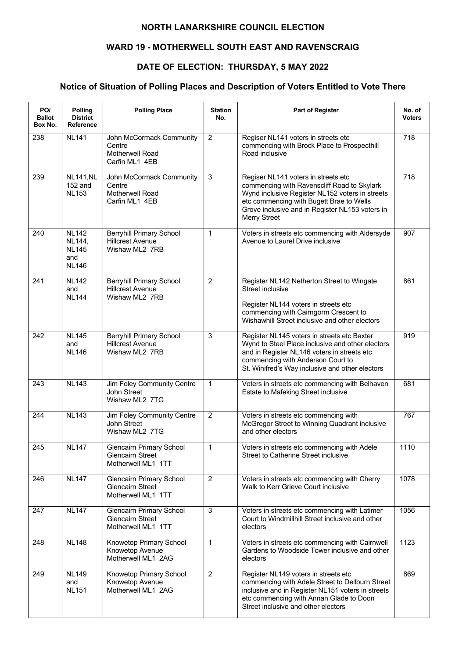### **WARD 19 - MOTHERWELL SOUTH EAST AND RAVENSCRAIG**

### **DATE OF ELECTION: THURSDAY, 5 MAY 2022**

| PO/<br><b>Ballot</b><br>Box No. | Polling<br><b>District</b><br><b>Reference</b>                | <b>Polling Place</b>                                                             | <b>Station</b><br>No. | <b>Part of Register</b>                                                                                                                                                                                                                                     | No. of<br><b>Voters</b> |
|---------------------------------|---------------------------------------------------------------|----------------------------------------------------------------------------------|-----------------------|-------------------------------------------------------------------------------------------------------------------------------------------------------------------------------------------------------------------------------------------------------------|-------------------------|
| 238                             | <b>NL141</b>                                                  | John McCormack Community<br>Centre<br>Motherwell Road<br>Carfin ML1 4EB          | $\overline{2}$        | Regiser NL141 voters in streets etc<br>commencing with Brock Place to Prospecthill<br>Road inclusive                                                                                                                                                        | 718                     |
| 239                             | <b>NL141, NL</b><br>152 and<br><b>NL153</b>                   | John McCormack Community<br>Centre<br>Motherwell Road<br>Carfin ML1 4EB          | 3                     | Regiser NL141 voters in streets etc<br>commencing with Ravenscliff Road to Skylark<br>Wynd inclusive Register NL152 voters in streets<br>etc commencing with Bugett Brae to Wells<br>Grove inclusive and in Register NL153 voters in<br><b>Merry Street</b> | $\overline{718}$        |
| 240                             | <b>NL142</b><br>NL144,<br><b>NL145</b><br>and<br><b>NL146</b> | <b>Berryhill Primary School</b><br><b>Hillcrest Avenue</b><br>Wishaw ML2 7RB     | 1                     | Voters in streets etc commencing with Aldersyde<br>Avenue to Laurel Drive inclusive                                                                                                                                                                         | 907                     |
| 241                             | <b>NL142</b><br>and<br><b>NL144</b>                           | <b>Berryhill Primary School</b><br><b>Hillcrest Avenue</b><br>Wishaw ML2 7RB     | $\overline{2}$        | Register NL142 Netherton Street to Wingate<br>Street inclusive<br>Register NL144 voters in streets etc<br>commencing with Cairngorm Crescent to<br>Wishawhill Street inclusive and other electors                                                           | 861                     |
| 242                             | <b>NL145</b><br>and<br><b>NL146</b>                           | <b>Berryhill Primary School</b><br><b>Hillcrest Avenue</b><br>Wishaw ML2 7RB     | 3                     | Register NL145 voters in streets etc Baxter<br>Wynd to Steel Place inclusive and other electors<br>and in Register NL146 voters in streets etc<br>commencing with Anderson Court to<br>St. Winifred's Way inclusive and other electors                      | 919                     |
| 243                             | <b>NL143</b>                                                  | Jim Foley Community Centre<br>John Street<br>Wishaw ML2 7TG                      | $\mathbf 1$           | Voters in streets etc commencing with Belhaven<br>Estate to Mafeking Street inclusive                                                                                                                                                                       | 681                     |
| 244                             | <b>NL143</b>                                                  | Jim Foley Community Centre<br>John Street<br>Wishaw ML2 7TG                      | $\overline{2}$        | Voters in streets etc commencing with<br>McGregor Street to Winning Quadrant inclusive<br>and other electors                                                                                                                                                | 767                     |
| 245                             | <b>NL147</b>                                                  | <b>Glencairn Primary School</b><br><b>Glencairn Street</b><br>Motherwell ML1 1TT | 1                     | Voters in streets etc commencing with Adele<br>Street to Catherine Street inclusive                                                                                                                                                                         | 1110                    |
| 246                             | <b>NL147</b>                                                  | <b>Glencairn Primary School</b><br><b>Glencairn Street</b><br>Motherwell ML1 1TT | $\overline{2}$        | Voters in streets etc commencing with Cherry<br>Walk to Kerr Grieve Court inclusive                                                                                                                                                                         | 1078                    |
| 247                             | <b>NL147</b>                                                  | <b>Glencairn Primary School</b><br><b>Glencairn Street</b><br>Motherwell ML1 1TT | $\mathbf{3}$          | Voters in streets etc commencing with Latimer<br>Court to Windmillhill Street inclusive and other<br>electors                                                                                                                                               | 1056                    |
| 248                             | <b>NL148</b>                                                  | Knowetop Primary School<br>Knowetop Avenue<br>Motherwell ML1 2AG                 | $\mathbf 1$           | Voters in streets etc commencing with Cairnwell<br>Gardens to Woodside Tower inclusive and other<br>electors                                                                                                                                                | 1123                    |
| 249                             | <b>NL149</b><br>and<br><b>NL151</b>                           | Knowetop Primary School<br>Knowetop Avenue<br>Motherwell ML1 2AG                 | $\overline{2}$        | Register NL149 voters in streets etc<br>commencing with Adele Street to Dellburn Street<br>inclusive and in Register NL151 voters in streets<br>etc commencing with Annan Glade to Doon<br>Street inclusive and other electors                              | 869                     |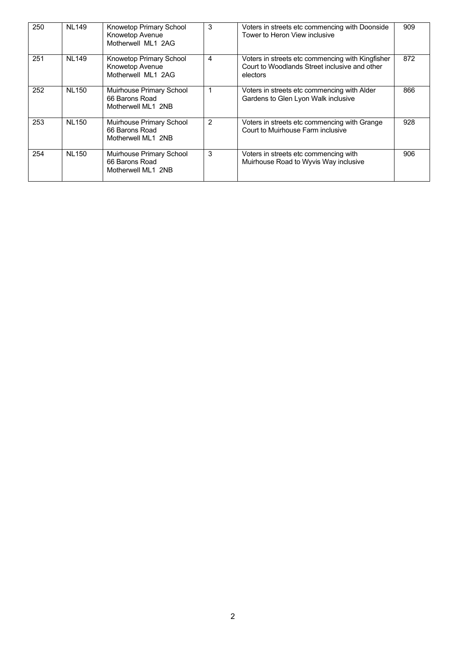| 250 | <b>NL149</b> | Knowetop Primary School<br>Knowetop Avenue<br>Motherwell ML1 2AG | 3             | Voters in streets etc commencing with Doonside<br>Tower to Heron View inclusive                               | 909 |
|-----|--------------|------------------------------------------------------------------|---------------|---------------------------------------------------------------------------------------------------------------|-----|
| 251 | <b>NL149</b> | Knowetop Primary School<br>Knowetop Avenue<br>Motherwell ML1 2AG | 4             | Voters in streets etc commencing with Kingfisher<br>Court to Woodlands Street inclusive and other<br>electors | 872 |
| 252 | <b>NL150</b> | Muirhouse Primary School<br>66 Barons Road<br>Motherwell ML1 2NB |               | Voters in streets etc commencing with Alder<br>Gardens to Glen Lyon Walk inclusive                            | 866 |
| 253 | <b>NL150</b> | Muirhouse Primary School<br>66 Barons Road<br>Motherwell ML1 2NB | $\mathcal{P}$ | Voters in streets etc commencing with Grange<br>Court to Muirhouse Farm inclusive                             | 928 |
| 254 | <b>NL150</b> | Muirhouse Primary School<br>66 Barons Road<br>Motherwell ML1 2NB | 3             | Voters in streets etc commencing with<br>Muirhouse Road to Wyvis Way inclusive                                | 906 |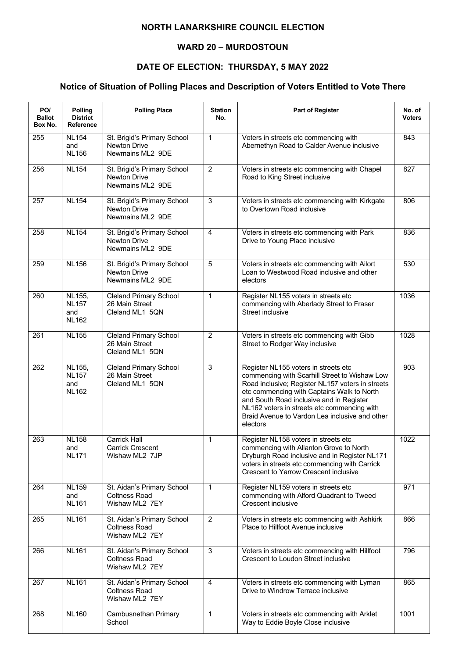### **WARD 20 – MURDOSTOUN**

## **DATE OF ELECTION: THURSDAY, 5 MAY 2022**

| PO/<br><b>Ballot</b><br>Box No. | Polling<br><b>District</b><br>Reference       | <b>Polling Place</b>                                                   | <b>Station</b><br>No. | <b>Part of Register</b>                                                                                                                                                                                                                                                                                                                          | No. of<br>Voters |
|---------------------------------|-----------------------------------------------|------------------------------------------------------------------------|-----------------------|--------------------------------------------------------------------------------------------------------------------------------------------------------------------------------------------------------------------------------------------------------------------------------------------------------------------------------------------------|------------------|
| 255                             | <b>NL154</b><br>and<br><b>NL156</b>           | St. Brigid's Primary School<br>Newton Drive<br>Newmains ML2 9DE        | 1                     | Voters in streets etc commencing with<br>Abernethyn Road to Calder Avenue inclusive                                                                                                                                                                                                                                                              | 843              |
| 256                             | <b>NL154</b>                                  | St. Brigid's Primary School<br><b>Newton Drive</b><br>Newmains ML2 9DE | $\overline{2}$        | Voters in streets etc commencing with Chapel<br>Road to King Street inclusive                                                                                                                                                                                                                                                                    | 827              |
| 257                             | <b>NL154</b>                                  | St. Brigid's Primary School<br>Newton Drive<br>Newmains ML2 9DE        | 3                     | Voters in streets etc commencing with Kirkgate<br>to Overtown Road inclusive                                                                                                                                                                                                                                                                     | 806              |
| 258                             | <b>NL154</b>                                  | St. Brigid's Primary School<br><b>Newton Drive</b><br>Newmains ML2 9DE | $\overline{4}$        | Voters in streets etc commencing with Park<br>Drive to Young Place inclusive                                                                                                                                                                                                                                                                     | 836              |
| 259                             | <b>NL156</b>                                  | St. Brigid's Primary School<br><b>Newton Drive</b><br>Newmains ML2 9DE | 5                     | Voters in streets etc commencing with Ailort<br>Loan to Westwood Road inclusive and other<br>electors                                                                                                                                                                                                                                            | 530              |
| 260                             | NL155,<br><b>NL157</b><br>and<br><b>NL162</b> | <b>Cleland Primary School</b><br>26 Main Street<br>Cleland ML1 5QN     | $\mathbf{1}$          | Register NL155 voters in streets etc<br>commencing with Aberlady Street to Fraser<br>Street inclusive                                                                                                                                                                                                                                            | 1036             |
| 261                             | <b>NL155</b>                                  | <b>Cleland Primary School</b><br>26 Main Street<br>Cleland ML1 5QN     | $\overline{2}$        | Voters in streets etc commencing with Gibb<br>Street to Rodger Way inclusive                                                                                                                                                                                                                                                                     | 1028             |
| 262                             | NL155,<br><b>NL157</b><br>and<br><b>NL162</b> | <b>Cleland Primary School</b><br>26 Main Street<br>Cleland ML1 5QN     | $\overline{3}$        | Register NL155 voters in streets etc<br>commencing with Scarhill Street to Wishaw Low<br>Road inclusive; Register NL157 voters in streets<br>etc commencing with Captains Walk to North<br>and South Road inclusive and in Register<br>NL162 voters in streets etc commencing with<br>Braid Avenue to Vardon Lea inclusive and other<br>electors | 903              |
| 263                             | <b>NL158</b><br>and<br><b>NL171</b>           | Carrick Hall<br><b>Carrick Crescent</b><br>Wishaw ML2 7JP              | 1                     | Register NL158 voters in streets etc<br>commencing with Allanton Grove to North<br>Dryburgh Road inclusive and in Register NL171<br>voters in streets etc commencing with Carrick<br><b>Crescent to Yarrow Crescent inclusive</b>                                                                                                                | 1022             |
| 264                             | <b>NL159</b><br>and<br><b>NL161</b>           | St. Aidan's Primary School<br><b>Coltness Road</b><br>Wishaw ML2 7EY   | $\mathbf{1}$          | Register NL159 voters in streets etc<br>commencing with Alford Quadrant to Tweed<br>Crescent inclusive                                                                                                                                                                                                                                           | 971              |
| 265                             | <b>NL161</b>                                  | St. Aidan's Primary School<br><b>Coltness Road</b><br>Wishaw ML2 7EY   | $\overline{2}$        | Voters in streets etc commencing with Ashkirk<br>Place to Hillfoot Avenue inclusive                                                                                                                                                                                                                                                              | 866              |
| 266                             | <b>NL161</b>                                  | St. Aidan's Primary School<br><b>Coltness Road</b><br>Wishaw ML2 7EY   | $\overline{3}$        | Voters in streets etc commencing with Hillfoot<br>Crescent to Loudon Street inclusive                                                                                                                                                                                                                                                            | 796              |
| 267                             | <b>NL161</b>                                  | St. Aidan's Primary School<br><b>Coltness Road</b><br>Wishaw ML2 7EY   | 4                     | Voters in streets etc commencing with Lyman<br>Drive to Windrow Terrace inclusive                                                                                                                                                                                                                                                                | 865              |
| 268                             | <b>NL160</b>                                  | Cambusnethan Primary<br>School                                         | $\mathbf 1$           | Voters in streets etc commencing with Arklet<br>Way to Eddie Boyle Close inclusive                                                                                                                                                                                                                                                               | 1001             |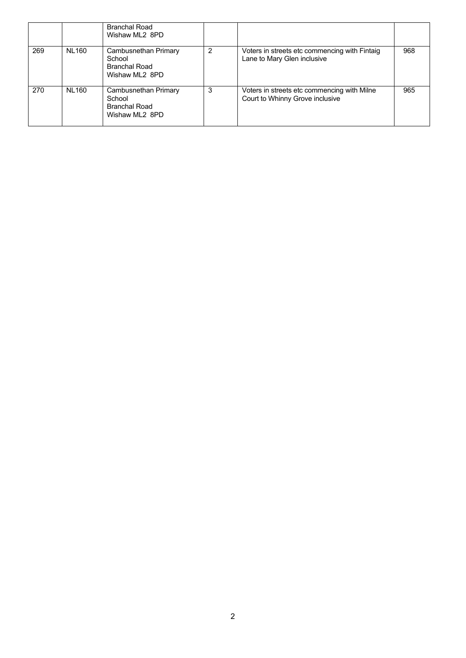|     |              | <b>Branchal Road</b><br>Wishaw ML2 8PD                                   |   |                                                                                |     |
|-----|--------------|--------------------------------------------------------------------------|---|--------------------------------------------------------------------------------|-----|
| 269 | <b>NL160</b> | Cambusnethan Primary<br>School<br><b>Branchal Road</b><br>Wishaw ML2 8PD | 2 | Voters in streets etc commencing with Fintaig<br>Lane to Mary Glen inclusive   | 968 |
| 270 | <b>NL160</b> | Cambusnethan Primary<br>School<br><b>Branchal Road</b><br>Wishaw ML2 8PD | 3 | Voters in streets etc commencing with Milne<br>Court to Whinny Grove inclusive | 965 |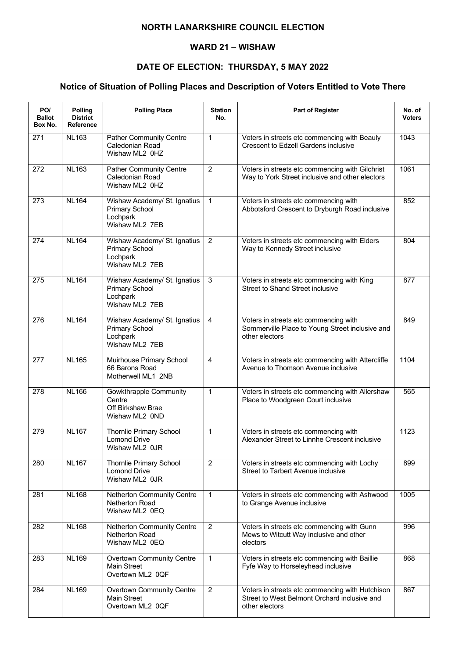#### **WARD 21 – WISHAW**

## **DATE OF ELECTION: THURSDAY, 5 MAY 2022**

| PO/<br><b>Ballot</b><br>Box No. | Polling<br><b>District</b><br>Reference | <b>Polling Place</b>                                                                | <b>Station</b><br>No. | Part of Register                                                                                                  | No. of<br><b>Voters</b> |
|---------------------------------|-----------------------------------------|-------------------------------------------------------------------------------------|-----------------------|-------------------------------------------------------------------------------------------------------------------|-------------------------|
| 271                             | <b>NL163</b>                            | <b>Pather Community Centre</b><br>Caledonian Road<br>Wishaw ML2 0HZ                 | $\mathbf{1}$          | Voters in streets etc commencing with Beauly<br><b>Crescent to Edzell Gardens inclusive</b>                       | 1043                    |
| 272                             | <b>NL163</b>                            | Pather Community Centre<br>Caledonian Road<br>Wishaw ML2 0HZ                        | $\overline{2}$        | Voters in streets etc commencing with Gilchrist<br>Way to York Street inclusive and other electors                | 1061                    |
| 273                             | <b>NL164</b>                            | Wishaw Academy/ St. Ignatius<br><b>Primary School</b><br>Lochpark<br>Wishaw ML2 7EB | $\mathbf{1}$          | Voters in streets etc commencing with<br>Abbotsford Crescent to Dryburgh Road inclusive                           | 852                     |
| 274                             | <b>NL164</b>                            | Wishaw Academy/ St. Ignatius<br>Primary School<br>Lochpark<br>Wishaw ML2 7EB        | $\overline{2}$        | Voters in streets etc commencing with Elders<br>Way to Kennedy Street inclusive                                   | 804                     |
| 275                             | <b>NL164</b>                            | Wishaw Academy/ St. Ignatius<br><b>Primary School</b><br>Lochpark<br>Wishaw ML2 7EB | 3                     | Voters in streets etc commencing with King<br>Street to Shand Street inclusive                                    | 877                     |
| 276                             | <b>NL164</b>                            | Wishaw Academy/ St. Ignatius<br>Primary School<br>Lochpark<br>Wishaw ML2 7EB        | $\overline{4}$        | Voters in streets etc commencing with<br>Sommerville Place to Young Street inclusive and<br>other electors        | 849                     |
| 277                             | <b>NL165</b>                            | Muirhouse Primary School<br>66 Barons Road<br>Motherwell ML1 2NB                    | 4                     | Voters in streets etc commencing with Attercliffe<br>Avenue to Thomson Avenue inclusive                           | 1104                    |
| 278                             | <b>NL166</b>                            | Gowkthrapple Community<br>Centre<br>Off Birkshaw Brae<br>Wishaw ML2 OND             | $\mathbf{1}$          | Voters in streets etc commencing with Allershaw<br>Place to Woodgreen Court inclusive                             | 565                     |
| 279                             | <b>NL167</b>                            | <b>Thornlie Primary School</b><br><b>Lomond Drive</b><br>Wishaw ML2 0JR             | $\mathbf{1}$          | Voters in streets etc commencing with<br>Alexander Street to Linnhe Crescent inclusive                            | 1123                    |
| 280                             | <b>NL167</b>                            | Thornlie Primary School<br><b>Lomond Drive</b><br>Wishaw ML2 0JR                    | $\overline{2}$        | Voters in streets etc commencing with Lochy<br>Street to Tarbert Avenue inclusive                                 | 899                     |
| 281                             | <b>NL168</b>                            | Netherton Community Centre<br>Netherton Road<br>Wishaw ML2 0EQ                      | $\mathbf{1}$          | Voters in streets etc commencing with Ashwood<br>to Grange Avenue inclusive                                       | 1005                    |
| 282                             | <b>NL168</b>                            | Netherton Community Centre<br>Netherton Road<br>Wishaw ML2 0EQ                      | $\overline{2}$        | Voters in streets etc commencing with Gunn<br>Mews to Witcutt Way inclusive and other<br>electors                 | 996                     |
| 283                             | <b>NL169</b>                            | <b>Overtown Community Centre</b><br><b>Main Street</b><br>Overtown ML2 0QF          | $\mathbf{1}$          | Voters in streets etc commencing with Baillie<br>Fyfe Way to Horseleyhead inclusive                               | 868                     |
| 284                             | <b>NL169</b>                            | <b>Overtown Community Centre</b><br>Main Street<br>Overtown ML2 0QF                 | $\overline{2}$        | Voters in streets etc commencing with Hutchison<br>Street to West Belmont Orchard inclusive and<br>other electors | 867                     |